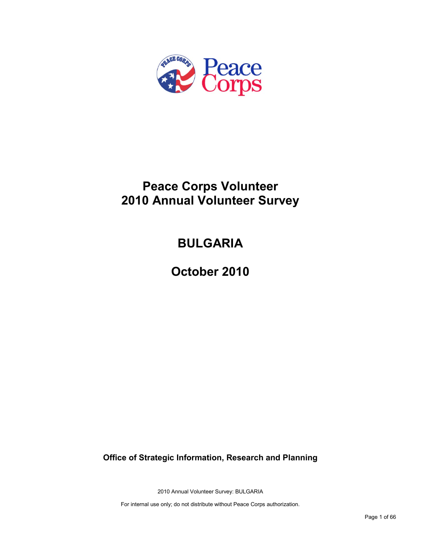

# **Peace Corps Volunteer 2010 Annual Volunteer Survey**

# **BULGARIA**

**October 2010**

**Office of Strategic Information, Research and Planning**

2010 Annual Volunteer Survey: BULGARIA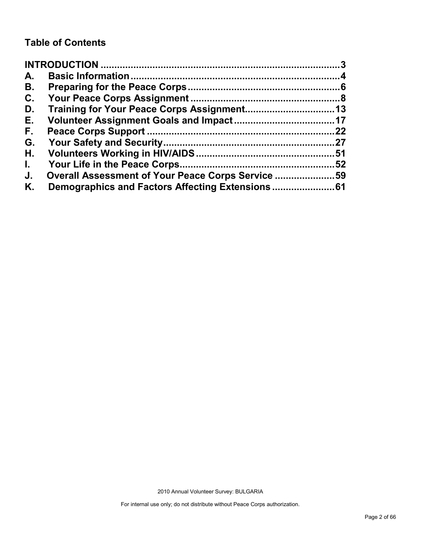# **Table of Contents**

| A.           |                                                   |     |
|--------------|---------------------------------------------------|-----|
| В.           |                                                   |     |
| C.           |                                                   |     |
| D.           |                                                   |     |
| Е.           |                                                   |     |
| F.,          |                                                   | 22  |
| G.           |                                                   |     |
| Н.           |                                                   |     |
| $\mathbf{L}$ |                                                   | .52 |
| J.           | Overall Assessment of Your Peace Corps Service 59 |     |
| Κ.           |                                                   |     |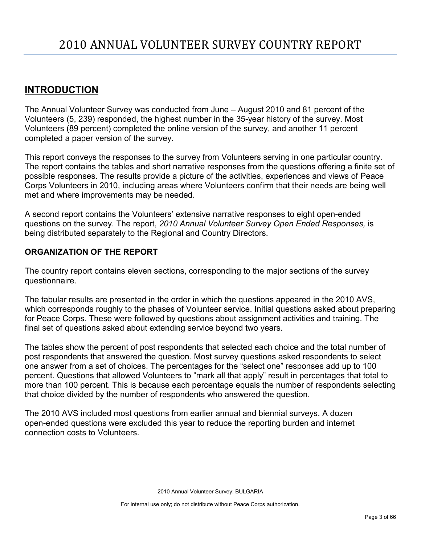# <span id="page-2-0"></span>**INTRODUCTION**

The Annual Volunteer Survey was conducted from June – August 2010 and 81 percent of the Volunteers (5, 239) responded, the highest number in the 35-year history of the survey. Most Volunteers (89 percent) completed the online version of the survey, and another 11 percent completed a paper version of the survey.

This report conveys the responses to the survey from Volunteers serving in one particular country. The report contains the tables and short narrative responses from the questions offering a finite set of possible responses. The results provide a picture of the activities, experiences and views of Peace Corps Volunteers in 2010, including areas where Volunteers confirm that their needs are being well met and where improvements may be needed.

A second report contains the Volunteers' extensive narrative responses to eight open-ended questions on the survey. The report, *2010 Annual Volunteer Survey Open Ended Responses,* is being distributed separately to the Regional and Country Directors.

# **ORGANIZATION OF THE REPORT**

The country report contains eleven sections, corresponding to the major sections of the survey questionnaire.

The tabular results are presented in the order in which the questions appeared in the 2010 AVS, which corresponds roughly to the phases of Volunteer service. Initial questions asked about preparing for Peace Corps. These were followed by questions about assignment activities and training. The final set of questions asked about extending service beyond two years.

The tables show the percent of post respondents that selected each choice and the total number of post respondents that answered the question. Most survey questions asked respondents to select one answer from a set of choices. The percentages for the "select one" responses add up to 100 percent. Questions that allowed Volunteers to "mark all that apply" result in percentages that total to more than 100 percent. This is because each percentage equals the number of respondents selecting that choice divided by the number of respondents who answered the question.

The 2010 AVS included most questions from earlier annual and biennial surveys. A dozen open-ended questions were excluded this year to reduce the reporting burden and internet connection costs to Volunteers.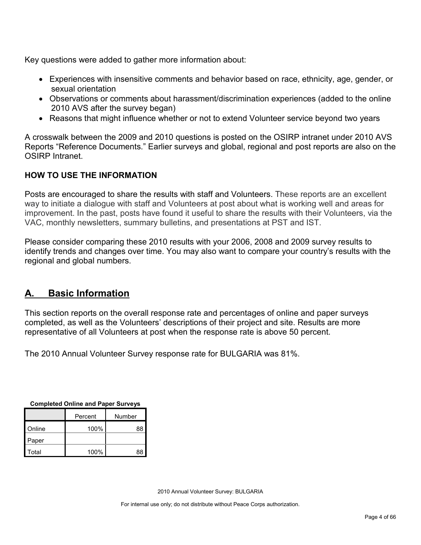Key questions were added to gather more information about:

- Experiences with insensitive comments and behavior based on race, ethnicity, age, gender, or sexual orientation
- Observations or comments about harassment/discrimination experiences (added to the online 2010 AVS after the survey began)
- Reasons that might influence whether or not to extend Volunteer service beyond two years

A crosswalk between the 2009 and 2010 questions is posted on the OSIRP intranet under 2010 AVS Reports "Reference Documents." Earlier surveys and global, regional and post reports are also on the OSIRP Intranet.

# **HOW TO USE THE INFORMATION**

Posts are encouraged to share the results with staff and Volunteers. These reports are an excellent way to initiate a dialogue with staff and Volunteers at post about what is working well and areas for improvement. In the past, posts have found it useful to share the results with their Volunteers, via the VAC, monthly newsletters, summary bulletins, and presentations at PST and IST.

Please consider comparing these 2010 results with your 2006, 2008 and 2009 survey results to identify trends and changes over time. You may also want to compare your country's results with the regional and global numbers.

# <span id="page-3-0"></span>**A. Basic Information**

This section reports on the overall response rate and percentages of online and paper surveys completed, as well as the Volunteers' descriptions of their project and site. Results are more representative of all Volunteers at post when the response rate is above 50 percent.

The 2010 Annual Volunteer Survey response rate for BULGARIA was 81%.

|         | <b>OUTIDICICA OTHER AND LADGE ONLYGYS</b> |        |  |  |  |
|---------|-------------------------------------------|--------|--|--|--|
| Percent |                                           | Number |  |  |  |
| Online  | 100%                                      | 88     |  |  |  |
| Paper   |                                           |        |  |  |  |
| Total   | 100%                                      | 88     |  |  |  |

**Completed Online and Paper Surveys**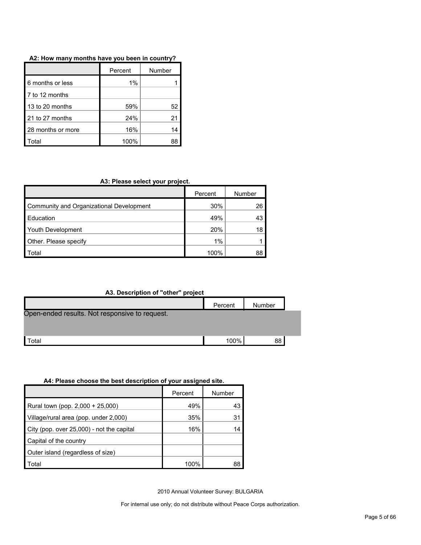| A2: How many months have you been in country? |  |  |  |  |  |  |  |  |  |  |
|-----------------------------------------------|--|--|--|--|--|--|--|--|--|--|
|-----------------------------------------------|--|--|--|--|--|--|--|--|--|--|

|                   | Percent | Number |
|-------------------|---------|--------|
| 6 months or less  | 1%      |        |
| 7 to 12 months    |         |        |
| 13 to 20 months   | 59%     | 52     |
| 21 to 27 months   | 24%     | 21     |
| 28 months or more | 16%     | 14     |
| `otal             | 100%    |        |

#### **A3: Please select your project.**

|                                          | Percent | Number |
|------------------------------------------|---------|--------|
| Community and Organizational Development | 30%     | 26     |
| <b>Education</b>                         | 49%     | 43     |
| <b>Youth Development</b>                 | 20%     | 18     |
| Other. Please specify                    | 1%      |        |
| Total                                    | 100%    | 88     |

## **A3. Description of "other" project**

| -------                                        |         |        |  |
|------------------------------------------------|---------|--------|--|
|                                                | Percent | Number |  |
| Open-ended results. Not responsive to request. |         |        |  |
|                                                |         |        |  |
| Total                                          | 100%    | 88     |  |

#### **A4: Please choose the best description of your assigned site.**

|                                           | Percent | Number |
|-------------------------------------------|---------|--------|
| Rural town (pop. 2,000 + 25,000)          | 49%     | 43     |
| Village/rural area (pop. under 2,000)     | 35%     | 31     |
| City (pop. over 25,000) - not the capital | 16%     |        |
| Capital of the country                    |         |        |
| Outer island (regardless of size)         |         |        |
| Total                                     | 100%    |        |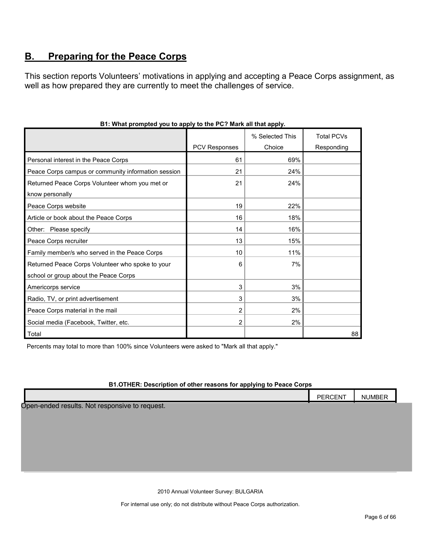# <span id="page-5-0"></span>**B. Preparing for the Peace Corps**

This section reports Volunteers' motivations in applying and accepting a Peace Corps assignment, as well as how prepared they are currently to meet the challenges of service.

|                                                     |                      | % Selected This | <b>Total PCVs</b> |
|-----------------------------------------------------|----------------------|-----------------|-------------------|
|                                                     | <b>PCV Responses</b> | Choice          | Responding        |
| Personal interest in the Peace Corps                | 61                   | 69%             |                   |
| Peace Corps campus or community information session | 21                   | 24%             |                   |
| Returned Peace Corps Volunteer whom you met or      | 21                   | 24%             |                   |
| know personally                                     |                      |                 |                   |
| Peace Corps website                                 | 19                   | 22%             |                   |
| Article or book about the Peace Corps               | 16                   | 18%             |                   |
| Other: Please specify                               | 14                   | 16%             |                   |
| Peace Corps recruiter                               | 13                   | 15%             |                   |
| Family member/s who served in the Peace Corps       | 10                   | 11%             |                   |
| Returned Peace Corps Volunteer who spoke to your    | 6                    | 7%              |                   |
| school or group about the Peace Corps               |                      |                 |                   |
| Americorps service                                  | 3                    | 3%              |                   |
| Radio, TV, or print advertisement                   | 3                    | 3%              |                   |
| Peace Corps material in the mail                    | 2                    | 2%              |                   |
| Social media (Facebook, Twitter, etc.               | $\overline{2}$       | 2%              |                   |
| Total                                               |                      |                 | 88                |

## **B1: What prompted you to apply to the PC? Mark all that apply.**

Percents may total to more than 100% since Volunteers were asked to "Mark all that apply."

#### **B1.OTHER: Description of other reasons for applying to Peace Corps**

|                                                | PERCENT | <b>NUMBER</b> |
|------------------------------------------------|---------|---------------|
| Open-ended results. Not responsive to request. |         |               |

2010 Annual Volunteer Survey: BULGARIA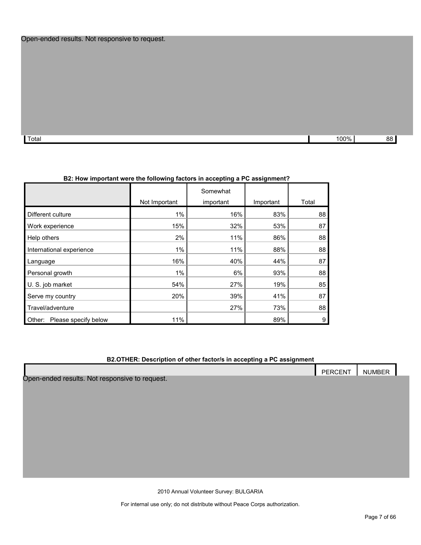# Open-ended results. Not responsive to request.

| . ד<br>Total | $100\%$ | 88 |
|--------------|---------|----|

|                                |               | Somewhat  |           |       |
|--------------------------------|---------------|-----------|-----------|-------|
|                                | Not Important | important | Important | Total |
| Different culture              | $1\%$         | 16%       | 83%       | 88    |
| Work experience                | 15%           | 32%       | 53%       | 87    |
| Help others                    | 2%            | 11%       | 86%       | 88    |
| International experience       | $1\%$         | 11%       | 88%       | 88    |
| Language                       | 16%           | 40%       | 44%       | 87    |
| Personal growth                | $1\%$         | 6%        | 93%       | 88    |
| U. S. job market               | 54%           | 27%       | 19%       | 85    |
| Serve my country               | 20%           | 39%       | 41%       | 87    |
| Travel/adventure               |               | 27%       | 73%       | 88    |
| Please specify below<br>Other: | 11%           |           | 89%       | 9     |

# **B2: How important were the following factors in accepting a PC assignment?**

#### **B2.OTHER: Description of other factor/s in accepting a PC assignment**

|                                                | PERCENT | <b>NUMBER</b> |
|------------------------------------------------|---------|---------------|
| Open-ended results. Not responsive to request. |         |               |
|                                                |         |               |
|                                                |         |               |
|                                                |         |               |
|                                                |         |               |
|                                                |         |               |
|                                                |         |               |
|                                                |         |               |
|                                                |         |               |

2010 Annual Volunteer Survey: BULGARIA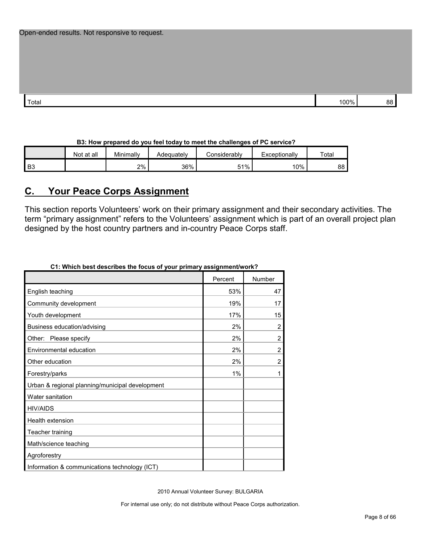| Open-ended results. Not responsive to request. |  |  |
|------------------------------------------------|--|--|
|------------------------------------------------|--|--|

| <sup>•</sup> Total | 100% | oc<br>n, |
|--------------------|------|----------|

# **B3: How prepared do you feel today to meet the challenges of PC service?**

|                | Not at all | Minimally | Adequately | Considerabl∨ | Exceptionally | Total |
|----------------|------------|-----------|------------|--------------|---------------|-------|
| B <sub>3</sub> |            | 2%        | 36%        | 51%          | 10%           | 88    |

# <span id="page-7-0"></span>**C. Your Peace Corps Assignment**

This section reports Volunteers' work on their primary assignment and their secondary activities. The term "primary assignment" refers to the Volunteers' assignment which is part of an overall project plan designed by the host country partners and in-country Peace Corps staff.

| CT. WHICH DESTRESCHIDES THE TOCUS OF YOUR DITIIDELY ASSIGNMENTWORK? |         |                |
|---------------------------------------------------------------------|---------|----------------|
|                                                                     | Percent | Number         |
| English teaching                                                    | 53%     | 47             |
| Community development                                               | 19%     | 17             |
| Youth development                                                   | 17%     | 15             |
| Business education/advising                                         | 2%      | 2              |
| Please specify<br>Other:                                            | 2%      | $\overline{2}$ |
| Environmental education                                             | 2%      | $\overline{2}$ |
| Other education                                                     | 2%      | $\overline{2}$ |
| Forestry/parks                                                      | 1%      | 1              |
| Urban & regional planning/municipal development                     |         |                |
| Water sanitation                                                    |         |                |
| <b>HIV/AIDS</b>                                                     |         |                |
| Health extension                                                    |         |                |
| Teacher training                                                    |         |                |
| Math/science teaching                                               |         |                |
| Agroforestry                                                        |         |                |
| Information & communications technology (ICT)                       |         |                |

# **C1: Which best describes the focus of your primary assignment/work?**

2010 Annual Volunteer Survey: BULGARIA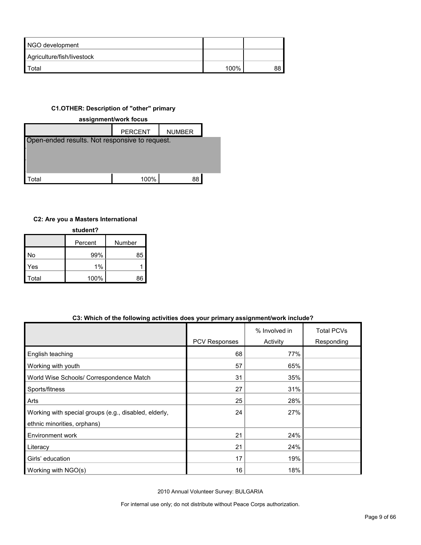| NGO development            |      |    |
|----------------------------|------|----|
| Agriculture/fish/livestock |      |    |
| Total                      | 100% | 88 |

# **C1.OTHER: Description of "other" primary**



# **C2: Are you a Masters International**

| student? |         |        |  |  |  |
|----------|---------|--------|--|--|--|
|          | Percent | Number |  |  |  |
| No       | 99%     | 85     |  |  |  |
| Yes      | 1%      |        |  |  |  |
| Total    | 100%    | 86     |  |  |  |

## **C3: Which of the following activities does your primary assignment/work include?**

|                                                       |               | % Involved in | <b>Total PCVs</b> |
|-------------------------------------------------------|---------------|---------------|-------------------|
|                                                       | PCV Responses | Activity      | Responding        |
| English teaching                                      | 68            | 77%           |                   |
| Working with youth                                    | 57            | 65%           |                   |
| World Wise Schools/ Correspondence Match              | 31            | 35%           |                   |
| Sports/fitness                                        | 27            | 31%           |                   |
| Arts                                                  | 25            | 28%           |                   |
| Working with special groups (e.g., disabled, elderly, | 24            | 27%           |                   |
| ethnic minorities, orphans)                           |               |               |                   |
| Environment work                                      | 21            | 24%           |                   |
| Literacy                                              | 21            | 24%           |                   |
| Girls' education                                      | 17            | 19%           |                   |
| Working with NGO(s)                                   | 16            | 18%           |                   |

2010 Annual Volunteer Survey: BULGARIA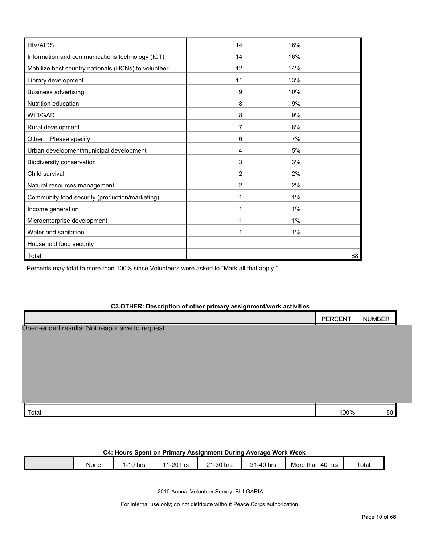| <b>HIV/AIDS</b>                                     | 14 | 16%   |    |
|-----------------------------------------------------|----|-------|----|
| Information and communications technology (ICT)     | 14 | 16%   |    |
| Mobilize host country nationals (HCNs) to volunteer | 12 | 14%   |    |
| Library development                                 | 11 | 13%   |    |
| <b>Business advertising</b>                         | 9  | 10%   |    |
| Nutrition education                                 | 8  | 9%    |    |
| WID/GAD                                             | 8  | 9%    |    |
| Rural development                                   | 7  | 8%    |    |
| Other: Please specify                               | 6  | 7%    |    |
| Urban development/municipal development             | 4  | 5%    |    |
| Biodiversity conservation                           | 3  | 3%    |    |
| Child survival                                      | 2  | 2%    |    |
| Natural resources management                        | 2  | 2%    |    |
| Community food security (production/marketing)      | 1  | 1%    |    |
| Income generation                                   |    | $1\%$ |    |
| Microenterprise development                         |    | 1%    |    |
| Water and sanitation                                |    | 1%    |    |
| Household food security                             |    |       |    |
| Total                                               |    |       | 88 |

Percents may total to more than 100% since Volunteers were asked to "Mark all that apply."

| C3.OTHER: Description of other primary assignment/work activities |                                   |               |  |  |  |  |
|-------------------------------------------------------------------|-----------------------------------|---------------|--|--|--|--|
|                                                                   | <b>PERCENT</b>                    | <b>NUMBER</b> |  |  |  |  |
| Open-ended results. Not responsive to request.                    |                                   |               |  |  |  |  |
|                                                                   |                                   |               |  |  |  |  |
|                                                                   |                                   |               |  |  |  |  |
|                                                                   |                                   |               |  |  |  |  |
|                                                                   |                                   |               |  |  |  |  |
|                                                                   |                                   |               |  |  |  |  |
|                                                                   |                                   |               |  |  |  |  |
| .                                                                 | $\lambda$ $\sim$ $\sim$ $\lambda$ | $\sim$ $\sim$ |  |  |  |  |

| Total | $\sim$ 0.04 | יר |
|-------|-------------|----|
|       |             |    |
|       |             |    |

| C4: Hours Spent on Primary Assignment During Average Work Week |      |          |           |           |           |                  |       |
|----------------------------------------------------------------|------|----------|-----------|-----------|-----------|------------------|-------|
|                                                                | None | 1-10 hrs | 11-20 hrs | 21-30 hrs | 31-40 hrs | More than 40 hrs | Total |

2010 Annual Volunteer Survey: BULGARIA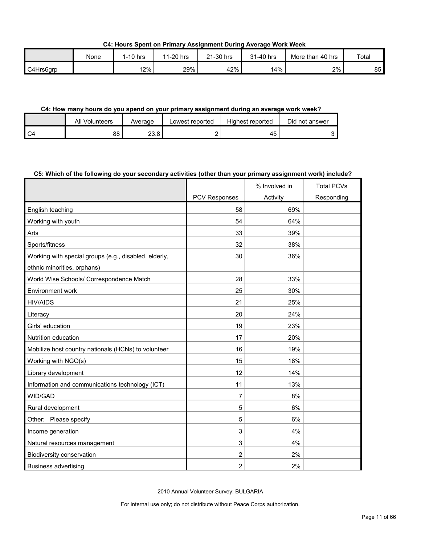**C4: Hours Spent on Primary Assignment During Average Work Week**

|           | None | 1-10 hrs | 1-20 hrs<br>44 | 21-30 hrs | 31-40 hrs | More than 40 hrs | Total |
|-----------|------|----------|----------------|-----------|-----------|------------------|-------|
| C4Hrs6grp |      | 12%      | 29%            | 42%       | l4%       | 2%               | 85    |

#### **C4: How many hours do you spend on your primary assignment during an average work week?**

|                | All<br>Volunteers | Average      | Lowest reported | Highest reported | Did not answer |
|----------------|-------------------|--------------|-----------------|------------------|----------------|
| C <sub>4</sub> | 88                | າາ ວ<br>ه.د∠ |                 |                  |                |

## **C5: Which of the following do your secondary activities (other than your primary assignment work) include?**

|                                                       |                | % Involved in | <b>Total PCVs</b> |
|-------------------------------------------------------|----------------|---------------|-------------------|
|                                                       | PCV Responses  | Activity      | Responding        |
| English teaching                                      | 58             | 69%           |                   |
| Working with youth                                    | 54             | 64%           |                   |
| Arts                                                  | 33             | 39%           |                   |
| Sports/fitness                                        | 32             | 38%           |                   |
| Working with special groups (e.g., disabled, elderly, | 30             | 36%           |                   |
| ethnic minorities, orphans)                           |                |               |                   |
| World Wise Schools/ Correspondence Match              | 28             | 33%           |                   |
| Environment work                                      | 25             | 30%           |                   |
| <b>HIV/AIDS</b>                                       | 21             | 25%           |                   |
| Literacy                                              | 20             | 24%           |                   |
| Girls' education                                      | 19             | 23%           |                   |
| Nutrition education                                   | 17             | 20%           |                   |
| Mobilize host country nationals (HCNs) to volunteer   | 16             | 19%           |                   |
| Working with NGO(s)                                   | 15             | 18%           |                   |
| Library development                                   | 12             | 14%           |                   |
| Information and communications technology (ICT)       | 11             | 13%           |                   |
| <b>WID/GAD</b>                                        | 7              | 8%            |                   |
| Rural development                                     | 5              | 6%            |                   |
| Other: Please specify                                 | 5              | 6%            |                   |
| Income generation                                     | 3              | 4%            |                   |
| Natural resources management                          | 3              | 4%            |                   |
| Biodiversity conservation                             | $\overline{2}$ | 2%            |                   |
| <b>Business advertising</b>                           | $\overline{2}$ | 2%            |                   |

2010 Annual Volunteer Survey: BULGARIA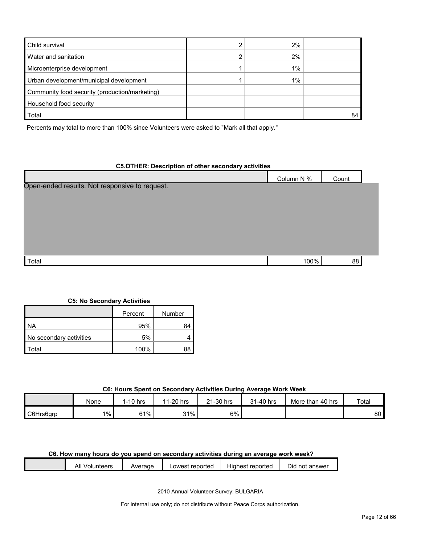| Child survival                                 | 2%    |  |
|------------------------------------------------|-------|--|
| Water and sanitation                           | 2%    |  |
| Microenterprise development                    | $1\%$ |  |
| Urban development/municipal development        | $1\%$ |  |
| Community food security (production/marketing) |       |  |
| Household food security                        |       |  |
| Total                                          |       |  |

Percents may total to more than 100% since Volunteers were asked to "Mark all that apply."

#### **C5.OTHER: Description of other secondary activities**

|                                                | Column N % | Count |  |
|------------------------------------------------|------------|-------|--|
| Open-ended results. Not responsive to request. |            |       |  |
|                                                |            |       |  |
|                                                |            |       |  |
|                                                |            |       |  |
|                                                |            |       |  |
|                                                |            |       |  |
| Total                                          | 100%       | 88    |  |

#### **C5: No Secondary Activities**

|                         | Number<br>Percent |  |  |
|-------------------------|-------------------|--|--|
| <b>NA</b>               | 95%               |  |  |
| No secondary activities | 5%                |  |  |
| `otal                   | 100%              |  |  |

#### **C6: Hours Spent on Secondary Activities During Average Work Week**

|           | None  | 1-10 hrs | 11-20 hrs | 21-30 hrs | 31-40 hrs | More than 40 hrs | Total |
|-----------|-------|----------|-----------|-----------|-----------|------------------|-------|
| C6Hrs6qrp | $1\%$ | 61%      | 31%       | 6%        |           |                  | 80    |

# **C6. How many hours do you spend on secondary activities during an average work week?**

| - '<br>.<br>All "<br>√olunteers<br>Did<br>Average<br>. reported<br>Highest<br>reported<br>. not answer<br>Lowest |  |
|------------------------------------------------------------------------------------------------------------------|--|
|------------------------------------------------------------------------------------------------------------------|--|

2010 Annual Volunteer Survey: BULGARIA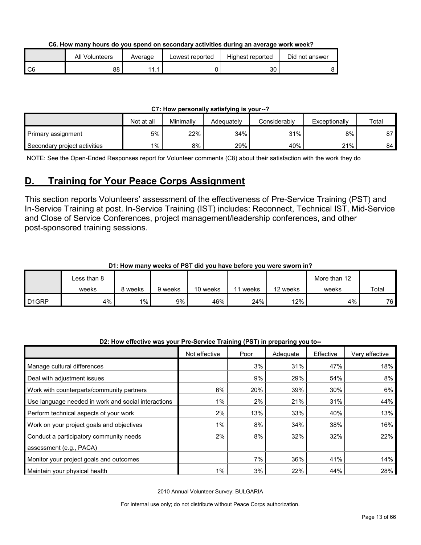**C6. How many hours do you spend on secondary activities during an average work week?**

|      | All Volunteers | Average | Lowest reported | Highest reported | Did not answer |
|------|----------------|---------|-----------------|------------------|----------------|
| l C6 | 88             | 11      |                 | າດ<br>აυ         |                |

#### **C7: How personally satisfying is your--?**

|                              | Not at all | Minimally | Adeauatelv | Considerably | Exceptionally | Total |
|------------------------------|------------|-----------|------------|--------------|---------------|-------|
| Primary assignment           | 5%         | 22%       | 34%        | 31%          | 8%            | 87    |
| Secondary project activities | 1%         | 8%        | 29%        | 40%          | 21%           | 84    |

NOTE: See the Open-Ended Responses report for Volunteer comments (C8) about their satisfaction with the work they do

# <span id="page-12-0"></span>**D. Training for Your Peace Corps Assignment**

This section reports Volunteers' assessment of the effectiveness of Pre-Service Training (PST) and In-Service Training at post. In-Service Training (IST) includes: Reconnect, Technical IST, Mid-Service and Close of Service Conferences, project management/leadership conferences, and other post-sponsored training sessions.

# **D1: How many weeks of PST did you have before you were sworn in?**

|                    | ∟ess than 8 |         |         |          |       |          | More than 12 |       |
|--------------------|-------------|---------|---------|----------|-------|----------|--------------|-------|
|                    | weeks       | 8 weeks | 9 weeks | 10 weeks | weeks | 12 weeks | weeks        | Total |
| D <sub>1</sub> GRP | 4%          | $1\%$   | 9%      | 46%      | 24%   | $12\%$   | 4%           | 76    |

## **D2: How effective was your Pre-Service Training (PST) in preparing you to--**

|                                                     | Not effective | Poor | Adequate | Effective | Very effective |
|-----------------------------------------------------|---------------|------|----------|-----------|----------------|
| Manage cultural differences                         |               | 3%   | 31%      | 47%       | 18%            |
| Deal with adjustment issues                         |               | 9%   | 29%      | 54%       | 8%             |
| Work with counterparts/community partners           | 6%            | 20%  | 39%      | 30%       | 6%             |
| Use language needed in work and social interactions | $1\%$         | 2%   | 21%      | 31%       | 44%            |
| Perform technical aspects of your work              | 2%            | 13%  | 33%      | 40%       | 13%            |
| Work on your project goals and objectives           | $1\%$         | 8%   | 34%      | 38%       | 16%            |
| Conduct a participatory community needs             | 2%            | 8%   | 32%      | 32%       | 22%            |
| assessment (e.g., PACA)                             |               |      |          |           |                |
| Monitor your project goals and outcomes             |               | 7%   | 36%      | 41%       | 14%            |
| Maintain your physical health                       | $1\%$         | 3%   | 22%      | 44%       | 28%            |

2010 Annual Volunteer Survey: BULGARIA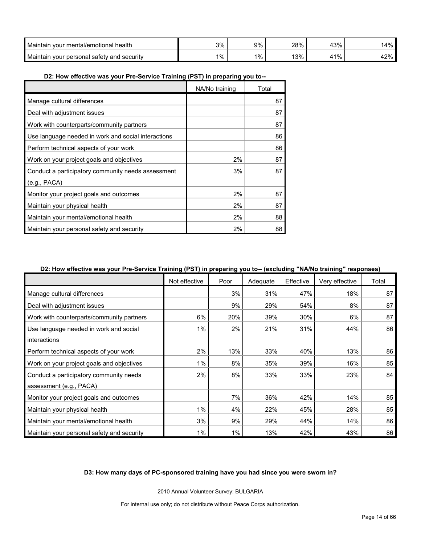| Maintair<br>vour mental/emotional health                      | 3%    | $9\%$ | 280/<br>20 7 | 13%      | 14%      |
|---------------------------------------------------------------|-------|-------|--------------|----------|----------|
| <b>Maintair</b><br>` vour personal દ<br>I safety and security | $1\%$ | 1%    | 120/<br>.    | 11%<br>4 | 2%<br>44 |

#### **D2: How effective was your Pre-Service Training (PST) in preparing you to--**

|                                                     | NA/No training | Total |
|-----------------------------------------------------|----------------|-------|
| Manage cultural differences                         |                | 87    |
| Deal with adjustment issues                         |                | 87    |
| Work with counterparts/community partners           |                | 87    |
| Use language needed in work and social interactions |                | 86    |
| Perform technical aspects of your work              |                | 86    |
| Work on your project goals and objectives           | 2%             | 87    |
| Conduct a participatory community needs assessment  | 3%             | 87    |
| (e.g., PACA)                                        |                |       |
| Monitor your project goals and outcomes             | 2%             | 87    |
| Maintain your physical health                       | 2%             | 87    |
| Maintain your mental/emotional health               | 2%             | 88    |
| Maintain your personal safety and security          | 2%             | 88    |

#### **D2: How effective was your Pre-Service Training (PST) in preparing you to-- (excluding "NA/No training" responses)**

|                                            | Not effective | Poor | Adequate | Effective | Very effective | Total |
|--------------------------------------------|---------------|------|----------|-----------|----------------|-------|
| Manage cultural differences                |               | 3%   | 31%      | 47%       | 18%            | 87    |
| Deal with adjustment issues                |               | 9%   | 29%      | 54%       | 8%             | 87    |
| Work with counterparts/community partners  | 6%            | 20%  | 39%      | 30%       | 6%             | 87    |
| Use language needed in work and social     | 1%            | 2%   | 21%      | 31%       | 44%            | 86    |
| interactions                               |               |      |          |           |                |       |
| Perform technical aspects of your work     | 2%            | 13%  | 33%      | 40%       | 13%            | 86    |
| Work on your project goals and objectives  | $1\%$         | 8%   | 35%      | 39%       | 16%            | 85    |
| Conduct a participatory community needs    | 2%            | 8%   | 33%      | 33%       | 23%            | 84    |
| assessment (e.g., PACA)                    |               |      |          |           |                |       |
| Monitor your project goals and outcomes    |               | 7%   | 36%      | 42%       | 14%            | 85    |
| Maintain your physical health              | $1\%$         | 4%   | 22%      | 45%       | 28%            | 85    |
| Maintain your mental/emotional health      | 3%            | 9%   | 29%      | 44%       | 14%            | 86    |
| Maintain your personal safety and security | $1\%$         | 1%   | 13%      | 42%       | 43%            | 86    |

#### **D3: How many days of PC-sponsored training have you had since you were sworn in?**

2010 Annual Volunteer Survey: BULGARIA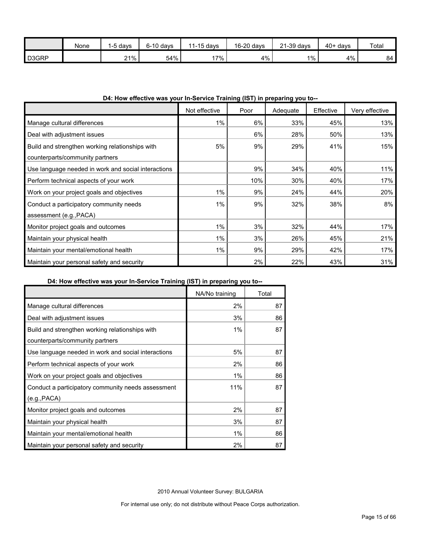|       | None | 1-5 days | $6-10$ davs | $11-15$ days | 16-20 days | 21-39 days | $40+$ days | Total |
|-------|------|----------|-------------|--------------|------------|------------|------------|-------|
| D3GRP |      | 21%      | 54%         | $17\%$       | 4%         | $1\%$      | 4%         | 84    |

# **D4: How effective was your In-Service Training (IST) in preparing you to--**

|                                                     | Not effective | Poor | Adequate | Effective | Very effective |
|-----------------------------------------------------|---------------|------|----------|-----------|----------------|
| Manage cultural differences                         | $1\%$         | 6%   | 33%      | 45%       | 13%            |
| Deal with adjustment issues                         |               | 6%   | 28%      | 50%       | 13%            |
| Build and strengthen working relationships with     | 5%            | 9%   | 29%      | 41%       | 15%            |
| counterparts/community partners                     |               |      |          |           |                |
| Use language needed in work and social interactions |               | 9%   | 34%      | 40%       | 11%            |
| Perform technical aspects of your work              |               | 10%  | 30%      | 40%       | 17%            |
| Work on your project goals and objectives           | 1%            | 9%   | 24%      | 44%       | 20%            |
| Conduct a participatory community needs             | $1\%$         | 9%   | 32%      | 38%       | 8%             |
| assessment (e.g., PACA)                             |               |      |          |           |                |
| Monitor project goals and outcomes                  | $1\%$         | 3%   | 32%      | 44%       | 17%            |
| Maintain your physical health                       | $1\%$         | 3%   | 26%      | 45%       | 21%            |
| Maintain your mental/emotional health               | $1\%$         | 9%   | 29%      | 42%       | 17%            |
| Maintain your personal safety and security          |               | 2%   | 22%      | 43%       | 31%            |

# **D4: How effective was your In-Service Training (IST) in preparing you to--**

|                                                     | NA/No training | Total |
|-----------------------------------------------------|----------------|-------|
| Manage cultural differences                         | 2%             | 87    |
| Deal with adjustment issues                         | 3%             | 86    |
| Build and strengthen working relationships with     | 1%             | 87    |
| counterparts/community partners                     |                |       |
| Use language needed in work and social interactions | 5%             | 87    |
| Perform technical aspects of your work              | 2%             | 86    |
| Work on your project goals and objectives           | 1%             | 86    |
| Conduct a participatory community needs assessment  | 11%            | 87    |
| (e.g., PACA)                                        |                |       |
| Monitor project goals and outcomes                  | 2%             | 87    |
| Maintain your physical health                       | 3%             | 87    |
| Maintain your mental/emotional health               | 1%             | 86    |
| Maintain your personal safety and security          | 2%             | 87    |

2010 Annual Volunteer Survey: BULGARIA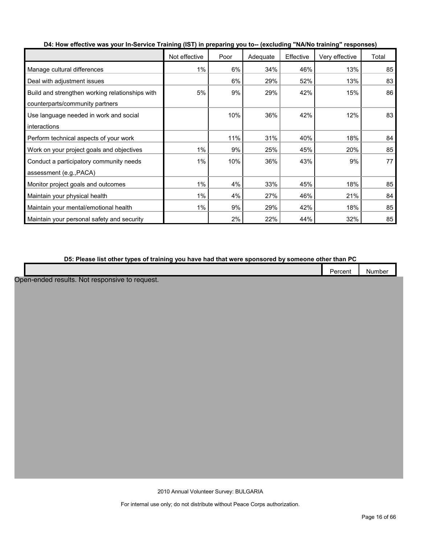|                                                 | Not effective | Poor | Adequate | Effective | Very effective | Total |
|-------------------------------------------------|---------------|------|----------|-----------|----------------|-------|
| Manage cultural differences                     | $1\%$         | 6%   | 34%      | 46%       | 13%            | 85    |
| Deal with adjustment issues                     |               | 6%   | 29%      | 52%       | 13%            | 83    |
| Build and strengthen working relationships with | 5%            | 9%   | 29%      | 42%       | 15%            | 86    |
| counterparts/community partners                 |               |      |          |           |                |       |
| Use language needed in work and social          |               | 10%  | 36%      | 42%       | 12%            | 83    |
| interactions                                    |               |      |          |           |                |       |
| Perform technical aspects of your work          |               | 11%  | 31%      | 40%       | 18%            | 84    |
| Work on your project goals and objectives       | 1%            | 9%   | 25%      | 45%       | 20%            | 85    |
| Conduct a participatory community needs         | 1%            | 10%  | 36%      | 43%       | 9%             | 77    |
| assessment (e.g., PACA)                         |               |      |          |           |                |       |
| Monitor project goals and outcomes              | $1\%$         | 4%   | 33%      | 45%       | 18%            | 85    |
| Maintain your physical health                   | $1\%$         | 4%   | 27%      | 46%       | 21%            | 84    |
| Maintain your mental/emotional health           | $1\%$         | 9%   | 29%      | 42%       | 18%            | 85    |
| Maintain your personal safety and security      |               | 2%   | 22%      | 44%       | 32%            | 85    |

**D4: How effective was your In-Service Training (IST) in preparing you to-- (excluding "NA/No training" responses)**

**D5: Please list other types of training you have had that were sponsored by someone other than PC**

Open-ended results. Not responsive to request.

2010 Annual Volunteer Survey: BULGARIA

Percent Number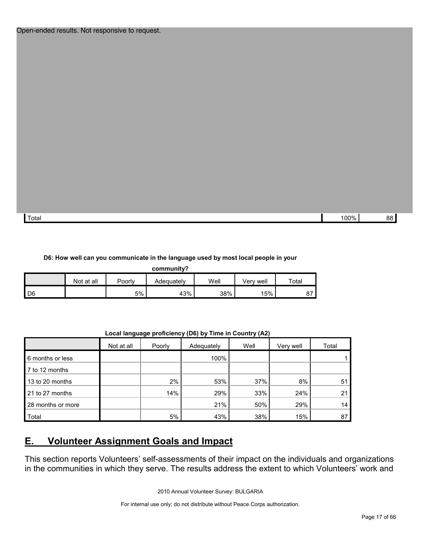| Total | 100% | 88 |  |
|-------|------|----|--|

#### **D6: How well can you communicate in the language used by most local people in your**

| community? |            |        |            |      |           |             |  |  |
|------------|------------|--------|------------|------|-----------|-------------|--|--|
|            | Not at all | Poorly | Adeauatelv | Well | √erv well | $\tau$ otal |  |  |
| l D6       |            | 5%     | 43%        | 38%  | 15%       | ∼           |  |  |

**Local language proficiency (D6) by Time in Country (A2)**

|                   | Not at all | Poorly | Adequately | Well | Very well | Total |
|-------------------|------------|--------|------------|------|-----------|-------|
| 6 months or less  |            |        | 100%       |      |           |       |
| 7 to 12 months    |            |        |            |      |           |       |
| 13 to 20 months   |            | 2%     | 53%        | 37%  | 8%        | 51    |
| 21 to 27 months   |            | 14%    | 29%        | 33%  | 24%       | 21    |
| 28 months or more |            |        | 21%        | 50%  | 29%       | 14    |
| Total             |            | 5%     | 43%        | 38%  | 15%       | 87    |

# <span id="page-16-0"></span>**E. Volunteer Assignment Goals and Impact**

This section reports Volunteers' self-assessments of their impact on the individuals and organizations in the communities in which they serve. The results address the extent to which Volunteers' work and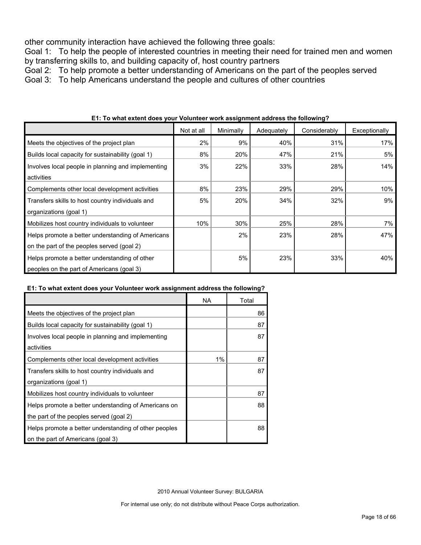other community interaction have achieved the following three goals:

Goal 1: To help the people of interested countries in meeting their need for trained men and women by transferring skills to, and building capacity of, host country partners

Goal 2: To help promote a better understanding of Americans on the part of the peoples served

Goal 3: To help Americans understand the people and cultures of other countries

|                                                    | Not at all | Minimally | Adequately | Considerably | Exceptionally |
|----------------------------------------------------|------------|-----------|------------|--------------|---------------|
| Meets the objectives of the project plan           | 2%         | 9%        | 40%        | 31%          | 17%           |
| Builds local capacity for sustainability (goal 1)  | 8%         | 20%       | 47%        | 21%          | 5%            |
| Involves local people in planning and implementing | 3%         | 22%       | 33%        | 28%          | 14%           |
| activities                                         |            |           |            |              |               |
| Complements other local development activities     | 8%         | 23%       | 29%        | 29%          | 10%           |
| Transfers skills to host country individuals and   | 5%         | 20%       | 34%        | 32%          | 9%            |
| organizations (goal 1)                             |            |           |            |              |               |
| Mobilizes host country individuals to volunteer    | 10%        | 30%       | 25%        | 28%          | 7%            |
| Helps promote a better understanding of Americans  |            | 2%        | 23%        | 28%          | 47%           |
| on the part of the peoples served (goal 2)         |            |           |            |              |               |
| Helps promote a better understanding of other      |            | 5%        | 23%        | 33%          | 40%           |
| peoples on the part of Americans (goal 3)          |            |           |            |              |               |

**E1: To what extent does your Volunteer work assignment address the following?**

## **E1: To what extent does your Volunteer work assignment address the following?**

|                                                       | NA. | Total |
|-------------------------------------------------------|-----|-------|
| Meets the objectives of the project plan              |     | 86    |
| Builds local capacity for sustainability (goal 1)     |     | 87    |
| Involves local people in planning and implementing    |     | 87    |
| activities                                            |     |       |
| Complements other local development activities        | 1%  | 87    |
| Transfers skills to host country individuals and      |     | 87    |
| organizations (goal 1)                                |     |       |
| Mobilizes host country individuals to volunteer       |     | 87    |
| Helps promote a better understanding of Americans on  |     | 88    |
| the part of the peoples served (goal 2)               |     |       |
| Helps promote a better understanding of other peoples |     | 88    |
| on the part of Americans (goal 3)                     |     |       |

2010 Annual Volunteer Survey: BULGARIA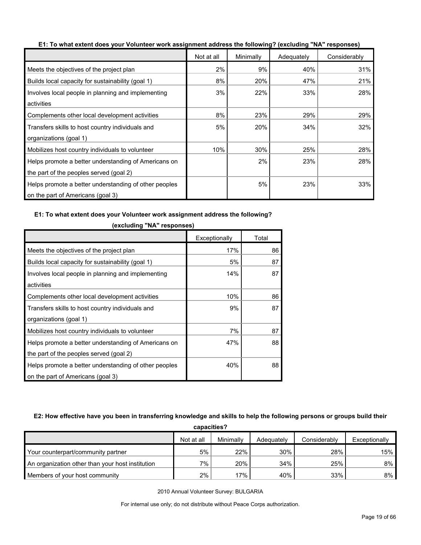|                                                       | Not at all | Minimally | Adequately | Considerably |
|-------------------------------------------------------|------------|-----------|------------|--------------|
| Meets the objectives of the project plan              | 2%         | 9%        | 40%        | 31%          |
| Builds local capacity for sustainability (goal 1)     | 8%         | 20%       | 47%        | 21%          |
| Involves local people in planning and implementing    | 3%         | 22%       | 33%        | 28%          |
| activities                                            |            |           |            |              |
| Complements other local development activities        | 8%         | 23%       | 29%        | 29%          |
| Transfers skills to host country individuals and      | 5%         | 20%       | 34%        | 32%          |
| organizations (goal 1)                                |            |           |            |              |
| Mobilizes host country individuals to volunteer       | 10%        | 30%       | 25%        | 28%          |
| Helps promote a better understanding of Americans on  |            | 2%        | 23%        | 28%          |
| the part of the peoples served (goal 2)               |            |           |            |              |
| Helps promote a better understanding of other peoples |            | 5%        | 23%        | 33%          |
| on the part of Americans (goal 3)                     |            |           |            |              |

**E1: To what extent does your Volunteer work assignment address the following? (excluding "NA" responses)**

#### **E1: To what extent does your Volunteer work assignment address the following?**

|                                                       | Exceptionally | Total |
|-------------------------------------------------------|---------------|-------|
| Meets the objectives of the project plan              | 17%           | 86    |
| Builds local capacity for sustainability (goal 1)     | 5%            | 87    |
| Involves local people in planning and implementing    | 14%           | 87    |
| activities                                            |               |       |
| Complements other local development activities        | 10%           | 86    |
| Transfers skills to host country individuals and      | 9%            | 87    |
| organizations (goal 1)                                |               |       |
| Mobilizes host country individuals to volunteer       | 7%            | 87    |
| Helps promote a better understanding of Americans on  | 47%           | 88    |
| the part of the peoples served (goal 2)               |               |       |
| Helps promote a better understanding of other peoples | 40%           | 88    |
| on the part of Americans (goal 3)                     |               |       |

#### **(excluding "NA" responses)**

#### **E2: How effective have you been in transferring knowledge and skills to help the following persons or groups build their**

| capacities?                                      |            |           |            |              |               |  |  |
|--------------------------------------------------|------------|-----------|------------|--------------|---------------|--|--|
|                                                  | Not at all | Minimally | Adequately | Considerably | Exceptionally |  |  |
| Your counterpart/community partner               | 5%         | 22%       | 30%        | 28%          | 15%           |  |  |
| An organization other than your host institution | $7\%$ .    | 20%       | 34%        | 25%          | 8%            |  |  |
| Members of your host community                   | 2%         | 17%       | 40%        | 33%          | 8%            |  |  |

2010 Annual Volunteer Survey: BULGARIA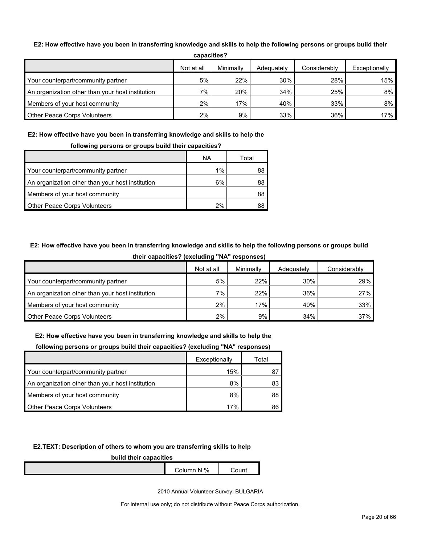#### **E2: How effective have you been in transferring knowledge and skills to help the following persons or groups build their**

| -----------                                      |            |           |            |              |               |  |
|--------------------------------------------------|------------|-----------|------------|--------------|---------------|--|
|                                                  | Not at all | Minimally | Adequately | Considerably | Exceptionally |  |
| Your counterpart/community partner               | 5%         | 22%       | 30%        | 28%          | 15%           |  |
| An organization other than your host institution | $7\%$      | 20%       | 34%        | 25%          | 8%            |  |
| Members of your host community                   | 2%         | 17%       | 40%        | 33%          | $8\%$         |  |
| Other Peace Corps Volunteers                     | 2%         | 9%        | 33%        | 36%          | 17%           |  |

**capacities?**

# **E2: How effective have you been in transferring knowledge and skills to help the**

#### **following persons or groups build their capacities?**

|                                                  | ΝA    | Total |
|--------------------------------------------------|-------|-------|
| Your counterpart/community partner               | $1\%$ | 88    |
| An organization other than your host institution | 6%    | 88    |
| Members of your host community                   |       | 88    |
| <b>Other Peace Corps Volunteers</b>              | 2%    |       |

# **E2: How effective have you been in transferring knowledge and skills to help the following persons or groups build**

|                                                  | Not at all | Minimally | Adequately | Considerably |
|--------------------------------------------------|------------|-----------|------------|--------------|
| Your counterpart/community partner               | 5%         | 22%       | 30%        | 29%          |
| An organization other than your host institution | $7\%$      | 22%       | 36%        | 27%          |
| Members of your host community                   | 2%         | 17%       | 40%        | 33%          |
| <b>Other Peace Corps Volunteers</b>              | $2\%$      | 9%        | 34%        | 37%          |

#### **their capacities? (excluding "NA" responses)**

#### **E2: How effective have you been in transferring knowledge and skills to help the**

| <u>reneming</u> percente er greupe sumu mon eupuchteer |               |       |
|--------------------------------------------------------|---------------|-------|
|                                                        | Exceptionally | Total |
| Your counterpart/community partner                     | 15%           |       |
| An organization other than your host institution       | 8%            | 83    |
| Members of your host community                         | 8%            | 88    |
| <b>Other Peace Corps Volunteers</b>                    | 17%           |       |

# **following persons or groups build their capacities? (excluding "NA" responses)**

#### **E2.TEXT: Description of others to whom you are transferring skills to help**

#### **build their capacities**

| N%<br>`ol⊔mn. | <b>un</b> |
|---------------|-----------|
|               |           |

2010 Annual Volunteer Survey: BULGARIA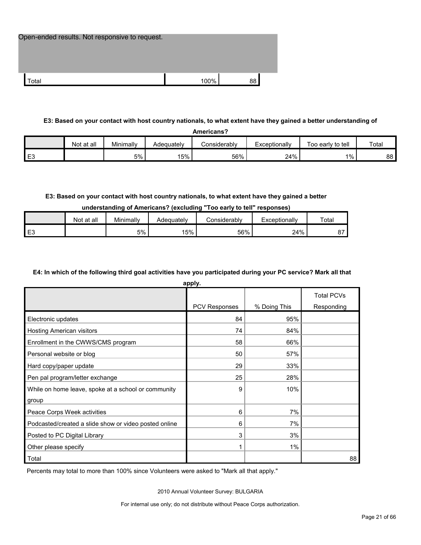| Open-ended results. Not responsive to request. |      |    |
|------------------------------------------------|------|----|
|                                                |      |    |
| Total                                          | 100% | 88 |

#### **E3: Based on your contact with host country nationals, to what extent have they gained a better understanding of**

| Americans?     |            |           |            |              |               |                   |       |
|----------------|------------|-----------|------------|--------------|---------------|-------------------|-------|
|                | Not at all | Minimally | Adeauatelv | Considerably | Exceptionally | Too early to tell | Total |
| E <sub>3</sub> |            | 5%        | 15%        | 56%          | 24%           | $1\%$             | 88    |

#### **E3: Based on your contact with host country nationals, to what extent have they gained a better**

#### **understanding of Americans? (excluding "Too early to tell" responses)**

|    | Not at all | Minimally | Adequatelv | Considerably | Exceptionallv | Total           |
|----|------------|-----------|------------|--------------|---------------|-----------------|
| ∟ບ |            | 5%        | 5%         | 56%          | 24%           | $\sim$ $-$<br>ັ |

#### **E4: In which of the following third goal activities have you participated during your PC service? Mark all that**

**apply.**

|                                                       | appiy.        |              |                   |
|-------------------------------------------------------|---------------|--------------|-------------------|
|                                                       |               |              | <b>Total PCVs</b> |
|                                                       | PCV Responses | % Doing This | Responding        |
| Electronic updates                                    | 84            | 95%          |                   |
| Hosting American visitors                             | 74            | 84%          |                   |
| Enrollment in the CWWS/CMS program                    | 58            | 66%          |                   |
| Personal website or blog                              | 50            | 57%          |                   |
| Hard copy/paper update                                | 29            | 33%          |                   |
| Pen pal program/letter exchange                       | 25            | 28%          |                   |
| While on home leave, spoke at a school or community   | 9             | 10%          |                   |
| group                                                 |               |              |                   |
| Peace Corps Week activities                           | 6             | 7%           |                   |
| Podcasted/created a slide show or video posted online | 6             | 7%           |                   |
| Posted to PC Digital Library                          | 3             | 3%           |                   |
| Other please specify                                  | 1             | $1\%$        |                   |
| Total                                                 |               |              | 88                |

Percents may total to more than 100% since Volunteers were asked to "Mark all that apply."

2010 Annual Volunteer Survey: BULGARIA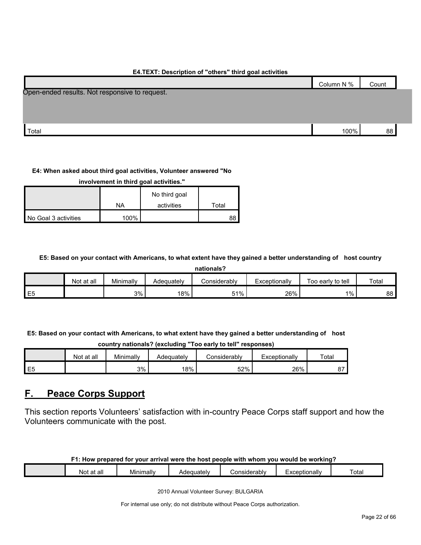# Column N % Count Total 100% 88  $\,$  100%  $\,$  88  $\,$ Open-ended results. Not responsive to request.

# **E4.TEXT: Description of "others" third goal activities**

#### **E4: When asked about third goal activities, Volunteer answered "No**

**involvement in third goal activities."** 

|                      |      | No third goal |       |
|----------------------|------|---------------|-------|
|                      | NA   | activities    | ™otal |
| No Goal 3 activities | 100% |               |       |

#### **E5: Based on your contact with Americans, to what extent have they gained a better understanding of host country**

| nationals? |  |
|------------|--|
|            |  |

|                | Not at all | Minimally | Adeauatelv | Considerablv | Exceptionally | Too early to tell | Total |  |  |  |
|----------------|------------|-----------|------------|--------------|---------------|-------------------|-------|--|--|--|
| E <sub>5</sub> |            | 3%        | 18%        | 51%<br>ັບເ   | 26%           | 1%                | 88    |  |  |  |

**E5: Based on your contact with Americans, to what extent have they gained a better understanding of host** 

**country nationals? (excluding "Too early to tell" responses)**

|                | Not at all | Minimally | Adequatelv | `onsiderablv | Exceptionally | Totar   |
|----------------|------------|-----------|------------|--------------|---------------|---------|
| E <sub>5</sub> |            | 3%        | 8%         | 52%          | 26%           | ~-<br>ັ |

# <span id="page-21-0"></span>**F. Peace Corps Support**

This section reports Volunteers' satisfaction with in-country Peace Corps staff support and how the Volunteers communicate with the post.

#### **F1: How prepared for your arrival were the host people with whom you would be working?**

| t at all<br>Not | . .<br>Minimally | يرام ويروما<br>Ader<br>-<br>w | Considerably | :xceptionallv<br>—^~ | otal |
|-----------------|------------------|-------------------------------|--------------|----------------------|------|
|                 |                  |                               |              |                      |      |

2010 Annual Volunteer Survey: BULGARIA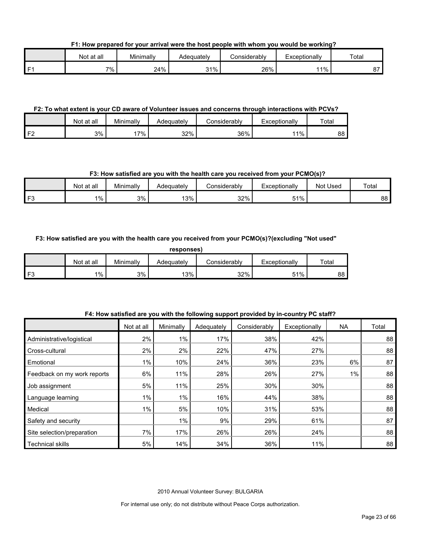**F1: How prepared for your arrival were the host people with whom you would be working?**

|    | Not at all | Minimally | Adequatelv | Considerably | Exceptionally | Total        |
|----|------------|-----------|------------|--------------|---------------|--------------|
| г. | 7% .       | 24%       | 31%<br>ິ   | 26%          | 11%           | $\sim$<br>o. |

#### **F2: To what extent is your CD aware of Volunteer issues and concerns through interactions with PCVs?**

|                         | Not at all | Minimally | Adequatelv | considerablv: | Exceptionally | Total |
|-------------------------|------------|-----------|------------|---------------|---------------|-------|
| $\mathsf{I} \mathsf{F}$ | 3%         | 7%        | 32%        | 36%           | 1%            | 88    |

#### **F3: How satisfied are you with the health care you received from your PCMO(s)?**

|    | Not at all | Minimally | Adequately | Considerably | Exceptionally | Used<br>Not | Total |
|----|------------|-----------|------------|--------------|---------------|-------------|-------|
| E9 | 1%         | 3%        | 13%        | 32%          | 51%           |             | 88    |

#### **F3: How satisfied are you with the health care you received from your PCMO(s)?(excluding "Not used"**

| Άς | oonses |
|----|--------|
|    |        |
|    |        |

|      | Not at all | Minimally | Adeguatelv | :onsiderablv | Exceptionallv | Total |
|------|------------|-----------|------------|--------------|---------------|-------|
| l F3 | $1\%$ .    | 3%        | 13%        | 32%          | 51%           | 88    |

|                             |            |           | . .        |              |               |       |       |
|-----------------------------|------------|-----------|------------|--------------|---------------|-------|-------|
|                             | Not at all | Minimally | Adequately | Considerably | Exceptionally | NA    | Total |
| Administrative/logistical   | 2%         | 1%        | 17%        | 38%          | 42%           |       | 88    |
| Cross-cultural              | 2%         | 2%        | 22%        | 47%          | 27%           |       | 88    |
| Emotional                   | $1\%$      | 10%       | 24%        | 36%          | 23%           | 6%    | 87    |
| Feedback on my work reports | 6%         | 11%       | 28%        | 26%          | 27%           | $1\%$ | 88    |
| Job assignment              | 5%         | 11%       | 25%        | 30%          | 30%           |       | 88    |
| Language learning           | $1\%$      | $1\%$     | 16%        | 44%          | 38%           |       | 88    |
| Medical                     | $1\%$      | 5%        | 10%        | 31%          | 53%           |       | 88    |
| Safety and security         |            | 1%        | 9%         | 29%          | 61%           |       | 87    |
| Site selection/preparation  | 7%         | 17%       | 26%        | 26%          | 24%           |       | 88    |
| <b>Technical skills</b>     | 5%         | 14%       | 34%        | 36%          | 11%           |       | 88    |

# **F4: How satisfied are you with the following support provided by in-country PC staff?**

2010 Annual Volunteer Survey: BULGARIA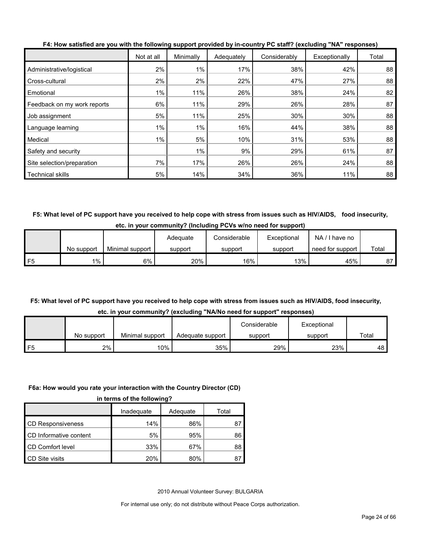|                             | Not at all | Minimally | Adequately | Considerably | Exceptionally | Total |
|-----------------------------|------------|-----------|------------|--------------|---------------|-------|
| Administrative/logistical   | 2%         | 1%        | 17%        | 38%          | 42%           | 88    |
| Cross-cultural              | 2%         | 2%        | 22%        | 47%          | 27%           | 88    |
| Emotional                   | 1%         | 11%       | 26%        | 38%          | 24%           | 82    |
| Feedback on my work reports | 6%         | 11%       | 29%        | 26%          | 28%           | 87    |
| Job assignment              | 5%         | 11%       | 25%        | 30%          | 30%           | 88    |
| Language learning           | 1%         | $1\%$     | 16%        | 44%          | 38%           | 88    |
| Medical                     | $1\%$      | 5%        | 10%        | 31%          | 53%           | 88    |
| Safety and security         |            | 1%        | 9%         | 29%          | 61%           | 87    |
| Site selection/preparation  | 7%         | 17%       | 26%        | 26%          | 24%           | 88    |
| <b>Technical skills</b>     | 5%         | 14%       | 34%        | 36%          | 11%           | 88    |

**F4: How satisfied are you with the following support provided by in-country PC staff? (excluding "NA" responses)**

**F5: What level of PC support have you received to help cope with stress from issues such as HIV/AIDS, food insecurity, etc. in your community? (Including PCVs w/no need for support)**

|    |            |                 | Adequate | Considerable | Exceptional | NA.<br>I have no |       |
|----|------------|-----------------|----------|--------------|-------------|------------------|-------|
|    | No support | Minimal support | support  | support      | support     | need for support | Total |
| F5 | $1\%$      | 6%              | 20%      | 16%          | 13%         | 45%              | 87    |

# **F5: What level of PC support have you received to help cope with stress from issues such as HIV/AIDS, food insecurity, etc. in your community? (excluding "NA/No need for support" responses)**

| 1.11       |                 |                  |              |             |       |  |  |
|------------|-----------------|------------------|--------------|-------------|-------|--|--|
|            |                 |                  | Considerable | Exceptional |       |  |  |
| No support | Minimal support | Adequate support | support      | support     | Total |  |  |
| 2%         | 10%             | 35%              | 29%          | 23%         | 48    |  |  |

# **F6a: How would you rate your interaction with the Country Director (CD)**

|  |  | in terms of the following? |
|--|--|----------------------------|
|  |  |                            |

|                          | Inadequate | Adequate | Total |
|--------------------------|------------|----------|-------|
| <b>CD Responsiveness</b> | 14%        | 86%      |       |
| CD Informative content   | 5%         | 95%      | 86    |
| CD Comfort level         | 33%        | 67%      | 88    |
| CD Site visits           | 20%        | 80%      |       |

2010 Annual Volunteer Survey: BULGARIA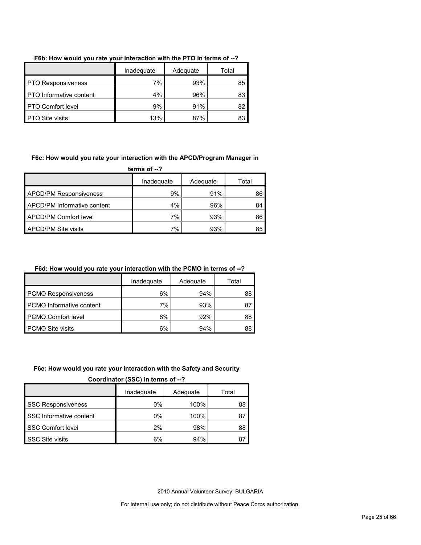|                                | Inadequate | Adequate | Total |
|--------------------------------|------------|----------|-------|
| <b>PTO Responsiveness</b>      | 7%         | 93%      | 85    |
| <b>PTO</b> Informative content | 4%         | 96%      | 83    |
| <b>PTO Comfort level</b>       | 9%         | 91%      | 82    |
| <b>PTO Site visits</b>         | 13%        | 87%      | 83    |

#### **F6b: How would you rate your interaction with the PTO in terms of --?**

#### **F6c: How would you rate your interaction with the APCD/Program Manager in**

**terms of --?**

|                               | Inadequate | Adequate | Total |
|-------------------------------|------------|----------|-------|
| <b>APCD/PM Responsiveness</b> | 9%         | 91%      | 86    |
| APCD/PM Informative content   | $4\%$      | 96%      | 84    |
| APCD/PM Comfort level         | 7%         | 93%      | 86    |
| <b>APCD/PM Site visits</b>    | 7%         | 93%      | 85    |

## **F6d: How would you rate your interaction with the PCMO in terms of --?**

|                                 | Inadeguate | Adequate | Total |
|---------------------------------|------------|----------|-------|
| <b>PCMO Responsiveness</b>      | 6%         | 94%      | 88    |
| <b>PCMO</b> Informative content | 7%         | 93%      | 87    |
| PCMO Comfort level              | 8%         | 92%      | 88    |
| <b>PCMO Site visits</b>         | 6%         | 94%      | 88    |

#### **F6e: How would you rate your interaction with the Safety and Security**

**Coordinator (SSC) in terms of --?**

|                           | Inadequate | Adequate | Total |
|---------------------------|------------|----------|-------|
| <b>SSC Responsiveness</b> | $0\%$      | 100%     | 88    |
| SSC Informative content   | 0%         | 100%     |       |
| <b>SSC Comfort level</b>  | 2%         | 98%      | 88    |
| <b>SSC Site visits</b>    | 6%         | 94%      |       |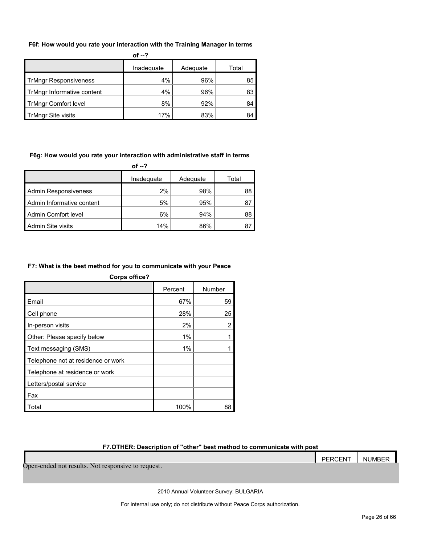#### **F6f: How would you rate your interaction with the Training Manager in terms**

|                              | of $-2$    |          |       |
|------------------------------|------------|----------|-------|
|                              | Inadequate | Adequate | Total |
| <b>TrMngr Responsiveness</b> | 4%         | 96%      | 85    |
| TrMngr Informative content   | 4%         | 96%      | 83    |
| <b>TrMngr Comfort level</b>  | 8%         | 92%      | 84    |
| <b>TrMngr Site visits</b>    | 17%        | 83%      | 84    |

#### **F6g: How would you rate your interaction with administrative staff in terms**

|                             | of --?     |          |       |
|-----------------------------|------------|----------|-------|
|                             | Inadequate | Adequate | Total |
| <b>Admin Responsiveness</b> | 2%         | 98%      | 88    |
| Admin Informative content   | 5%         | 95%      | 87    |
| Admin Comfort level         | 6%         | 94%      | 88    |
| Admin Site visits           | 14%        | 86%      | 8     |

#### **F7: What is the best method for you to communicate with your Peace**

| <b>Corps office?</b>               |         |        |
|------------------------------------|---------|--------|
|                                    | Percent | Number |
| Email                              | 67%     | 59     |
| Cell phone                         | 28%     | 25     |
| In-person visits                   | 2%      | 2      |
| Other: Please specify below        | 1%      |        |
| Text messaging (SMS)               | 1%      |        |
| Telephone not at residence or work |         |        |
| Telephone at residence or work     |         |        |
| Letters/postal service             |         |        |
| Fax                                |         |        |
| Total                              | 100%    | 88     |

#### **F7.OTHER: Description of "other" best method to communicate with post**

# PERCENT NUMBER Open-ended not results. Not responsive to request.

2010 Annual Volunteer Survey: BULGARIA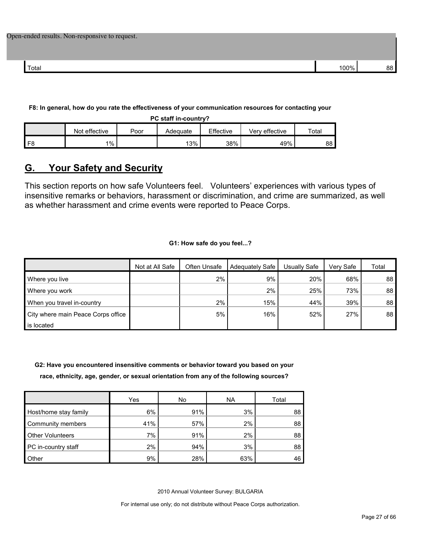|  |  |  |  |  |  | Open-ended results. Non-responsive to request. |  |  |
|--|--|--|--|--|--|------------------------------------------------|--|--|
|--|--|--|--|--|--|------------------------------------------------|--|--|

| Total | 0.001 |  |
|-------|-------|--|

**F8: In general, how do you rate the effectiveness of your communication resources for contacting your** 

**PC staff in-country?**

|                | effective<br>Not | Poor | Adequate | Effective | Verv effective | Total |
|----------------|------------------|------|----------|-----------|----------------|-------|
| F <sub>8</sub> | $1\%$            |      | 13%      | 38%       | 49%            | 88    |

# <span id="page-26-0"></span>**G. Your Safety and Security**

This section reports on how safe Volunteers feel. Volunteers' experiences with various types of insensitive remarks or behaviors, harassment or discrimination, and crime are summarized, as well as whether harassment and crime events were reported to Peace Corps.

**G1: How safe do you feel...?**

|                                    | Not at All Safe | Often Unsafe | Adequately Safe | Usually Safe | Very Safe | Total           |
|------------------------------------|-----------------|--------------|-----------------|--------------|-----------|-----------------|
| Where you live                     |                 | 2%           | 9%              | 20%          | 68%       | 88              |
| Where you work                     |                 |              | 2%              | 25%          | 73%       | 88              |
| When you travel in-country         |                 | 2%           | 15%             | 44%          | 39%       | 88 <sub>1</sub> |
| City where main Peace Corps office |                 | 5%           | 16%             | 52%          | 27%       | 88              |
| is located                         |                 |              |                 |              |           |                 |

**G2: Have you encountered insensitive comments or behavior toward you based on your race, ethnicity, age, gender, or sexual orientation from any of the following sources?**

|                         | Yes | No  | <b>NA</b> | Total |
|-------------------------|-----|-----|-----------|-------|
| Host/home stay family   | 6%  | 91% | 3%        | 88    |
| Community members       | 41% | 57% | 2%        | 88    |
| <b>Other Volunteers</b> | 7%  | 91% | 2%        | 88    |
| PC in-country staff     | 2%  | 94% | 3%        | 88    |
| <b>Other</b>            | 9%  | 28% | 63%       | 46    |

2010 Annual Volunteer Survey: BULGARIA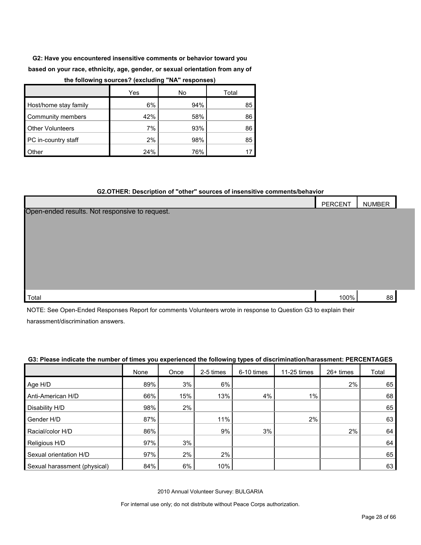**G2: Have you encountered insensitive comments or behavior toward you based on your race, ethnicity, age, gender, or sexual orientation from any of the following sources? (excluding "NA" responses)**

|                         | Yes | No  | Total |
|-------------------------|-----|-----|-------|
| Host/home stay family   | 6%  | 94% | 85    |
| Community members       | 42% | 58% | 86    |
| <b>Other Volunteers</b> | 7%  | 93% | 86    |
| PC in-country staff     | 2%  | 98% | 85    |
| Other                   | 24% | 76% |       |

#### **G2.OTHER: Description of "other" sources of insensitive comments/behavior**

|                                                | PERCENT | <b>NUMBER</b> |  |
|------------------------------------------------|---------|---------------|--|
| Open-ended results. Not responsive to request. |         |               |  |
|                                                |         |               |  |
|                                                |         |               |  |
|                                                |         |               |  |
|                                                |         |               |  |
|                                                |         |               |  |
|                                                |         |               |  |
| Total                                          | 100%    | 88            |  |

NOTE: See Open-Ended Responses Report for comments Volunteers wrote in response to Question G3 to explain their harassment/discrimination answers.

#### **G3: Please indicate the number of times you experienced the following types of discrimination/harassment: PERCENTAGES**

|                              | None | Once  | 2-5 times | 6-10 times | 11-25 times | $26+$ times | Total |
|------------------------------|------|-------|-----------|------------|-------------|-------------|-------|
| Age H/D                      | 89%  | 3%    | 6%        |            |             | $2\%$       | 65    |
| Anti-American H/D            | 66%  | 15%   | 13%       | 4%         | $1\%$       |             | 68    |
| Disability H/D               | 98%  | $2\%$ |           |            |             |             | 65    |
| Gender H/D                   | 87%  |       | 11%       |            | 2%          |             | 63    |
| Racial/color H/D             | 86%  |       | 9%        | 3%         |             | 2%          | 64    |
| Religious H/D                | 97%  | 3%    |           |            |             |             | 64    |
| Sexual orientation H/D       | 97%  | 2%    | 2%        |            |             |             | 65    |
| Sexual harassment (physical) | 84%  | 6%    | 10%       |            |             |             | 63    |

2010 Annual Volunteer Survey: BULGARIA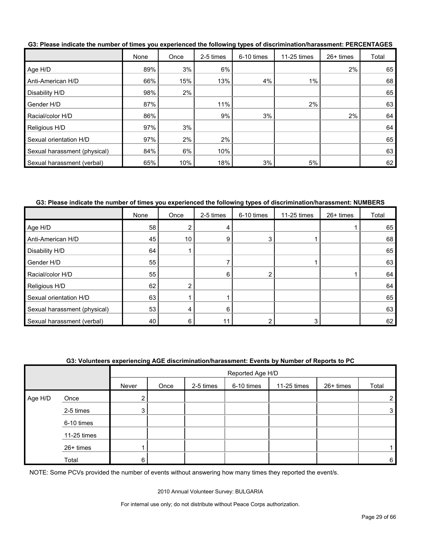|                              | None | Once | 2-5 times | 6-10 times | 11-25 times | 26+ times | Total |
|------------------------------|------|------|-----------|------------|-------------|-----------|-------|
| Age H/D                      | 89%  | 3%   | 6%        |            |             | 2%        | 65    |
| Anti-American H/D            | 66%  | 15%  | 13%       | 4%         | $1\%$       |           | 68    |
| Disability H/D               | 98%  | 2%   |           |            |             |           | 65    |
| Gender H/D                   | 87%  |      | 11%       |            | 2%          |           | 63    |
| Racial/color H/D             | 86%  |      | 9%        | 3%         |             | $2\%$     | 64    |
| Religious H/D                | 97%  | 3%   |           |            |             |           | 64    |
| Sexual orientation H/D       | 97%  | 2%   | 2%        |            |             |           | 65    |
| Sexual harassment (physical) | 84%  | 6%   | 10%       |            |             |           | 63    |
| Sexual harassment (verbal)   | 65%  | 10%  | 18%       | 3%         | 5%          |           | 62    |

**G3: Please indicate the number of times you experienced the following types of discrimination/harassment: PERCENTAGES**

#### **G3: Please indicate the number of times you experienced the following types of discrimination/harassment: NUMBERS**

|                              | None | Once            | 2-5 times | 6-10 times | 11-25 times | 26+ times | Total |
|------------------------------|------|-----------------|-----------|------------|-------------|-----------|-------|
| Age H/D                      | 58   | 2               |           |            |             |           | 65    |
| Anti-American H/D            | 45   | 10 <sup>°</sup> |           |            |             |           | 68    |
| Disability H/D               | 64   |                 |           |            |             |           | 65    |
| Gender H/D                   | 55   |                 |           |            |             |           | 63    |
| Racial/color H/D             | 55   |                 | 6         |            |             |           | 64    |
| Religious H/D                | 62   | 2               |           |            |             |           | 64    |
| Sexual orientation H/D       | 63   |                 |           |            |             |           | 65    |
| Sexual harassment (physical) | 53   | 4               | 6         |            |             |           | 63    |
| Sexual harassment (verbal)   | 40   | 6               |           |            |             |           | 62    |

#### **G3: Volunteers experiencing AGE discrimination/harassment: Events by Number of Reports to PC**

|         |             |       | Reported Age H/D |           |            |             |           |                |  |
|---------|-------------|-------|------------------|-----------|------------|-------------|-----------|----------------|--|
|         |             | Never | Once             | 2-5 times | 6-10 times | 11-25 times | 26+ times | Total          |  |
| Age H/D | Once        |       |                  |           |            |             |           | $\overline{2}$ |  |
|         | 2-5 times   | 3.    |                  |           |            |             |           | 3 <sub>l</sub> |  |
|         | 6-10 times  |       |                  |           |            |             |           |                |  |
|         | 11-25 times |       |                  |           |            |             |           |                |  |
|         | 26+ times   |       |                  |           |            |             |           |                |  |
|         | Total       | 6     |                  |           |            |             |           | 6              |  |

NOTE: Some PCVs provided the number of events without answering how many times they reported the event/s.

2010 Annual Volunteer Survey: BULGARIA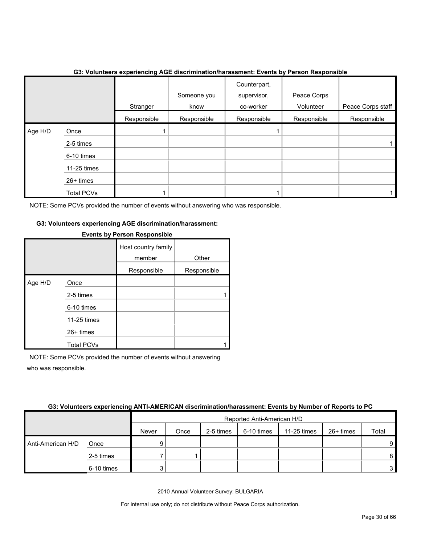|         |                   | Stranger    | Someone you<br>know | Counterpart,<br>supervisor,<br>co-worker | Peace Corps<br>Volunteer | Peace Corps staff |
|---------|-------------------|-------------|---------------------|------------------------------------------|--------------------------|-------------------|
|         |                   | Responsible | Responsible         | Responsible                              | Responsible              | Responsible       |
| Age H/D | Once              |             |                     |                                          |                          |                   |
|         | 2-5 times         |             |                     |                                          |                          |                   |
|         | 6-10 times        |             |                     |                                          |                          |                   |
|         | 11-25 times       |             |                     |                                          |                          |                   |
|         | 26+ times         |             |                     |                                          |                          |                   |
|         | <b>Total PCVs</b> |             |                     |                                          |                          |                   |

#### **G3: Volunteers experiencing AGE discrimination/harassment: Events by Person Responsible**

NOTE: Some PCVs provided the number of events without answering who was responsible.

#### **G3: Volunteers experiencing AGE discrimination/harassment:**

|         |                   | Host country family<br>member | Other       |
|---------|-------------------|-------------------------------|-------------|
|         |                   | Responsible                   | Responsible |
| Age H/D | Once              |                               |             |
|         | 2-5 times         |                               |             |
|         | 6-10 times        |                               |             |
|         | 11-25 times       |                               |             |
|         | $26+$ times       |                               |             |
|         | <b>Total PCVs</b> |                               |             |

#### **Events by Person Responsible**

NOTE: Some PCVs provided the number of events without answering who was responsible.

#### **G3: Volunteers experiencing ANTI-AMERICAN discrimination/harassment: Events by Number of Reports to PC**

|                   |            |       | Reported Anti-American H/D |           |            |             |           |                |  |
|-------------------|------------|-------|----------------------------|-----------|------------|-------------|-----------|----------------|--|
|                   |            | Never | Once                       | 2-5 times | 6-10 times | 11-25 times | 26+ times | Total          |  |
| Anti-American H/D | Once       |       |                            |           |            |             |           | 9              |  |
|                   | 2-5 times  |       |                            |           |            |             |           | 8 I            |  |
|                   | 6-10 times |       |                            |           |            |             |           | 3 <sup>1</sup> |  |

2010 Annual Volunteer Survey: BULGARIA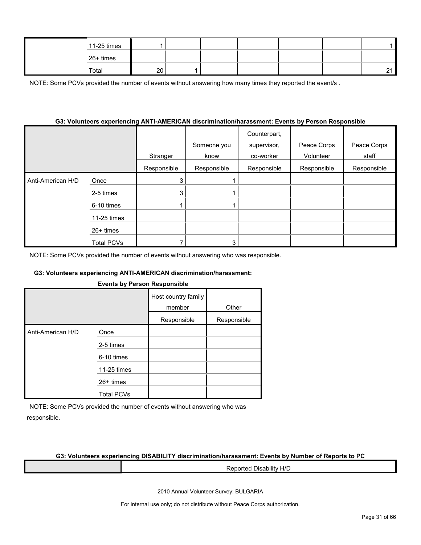| 11-25 times |             |  |  |        |
|-------------|-------------|--|--|--------|
| 26+ times   |             |  |  |        |
| Total       | $\sim$<br>∼ |  |  | $\sim$ |

NOTE: Some PCVs provided the number of events without answering how many times they reported the event/s.

#### **G3: Volunteers experiencing ANTI-AMERICAN discrimination/harassment: Events by Person Responsible**

|                   |                   | Stranger    | Someone you<br>know | Counterpart,<br>supervisor,<br>co-worker | Peace Corps<br>Volunteer | Peace Corps<br>staff |
|-------------------|-------------------|-------------|---------------------|------------------------------------------|--------------------------|----------------------|
|                   |                   | Responsible | Responsible         | Responsible                              | Responsible              | Responsible          |
| Anti-American H/D | Once              | 3           |                     |                                          |                          |                      |
|                   | 2-5 times         | 3           |                     |                                          |                          |                      |
|                   | 6-10 times        |             |                     |                                          |                          |                      |
|                   | 11-25 times       |             |                     |                                          |                          |                      |
|                   | 26+ times         |             |                     |                                          |                          |                      |
|                   | <b>Total PCVs</b> |             | 3                   |                                          |                          |                      |

NOTE: Some PCVs provided the number of events without answering who was responsible.

#### **G3: Volunteers experiencing ANTI-AMERICAN discrimination/harassment:**

#### **Events by Person Responsible**

|                   |                   | Host country family<br>member | Other       |
|-------------------|-------------------|-------------------------------|-------------|
|                   |                   | Responsible                   | Responsible |
| Anti-American H/D | Once              |                               |             |
|                   | 2-5 times         |                               |             |
|                   | 6-10 times        |                               |             |
|                   | 11-25 times       |                               |             |
|                   | $26+$ times       |                               |             |
|                   | <b>Total PCVs</b> |                               |             |

NOTE: Some PCVs provided the number of events without answering who was responsible.

#### **G3: Volunteers experiencing DISABILITY discrimination/harassment: Events by Number of Reports to PC**

Reported Disability H/D

2010 Annual Volunteer Survey: BULGARIA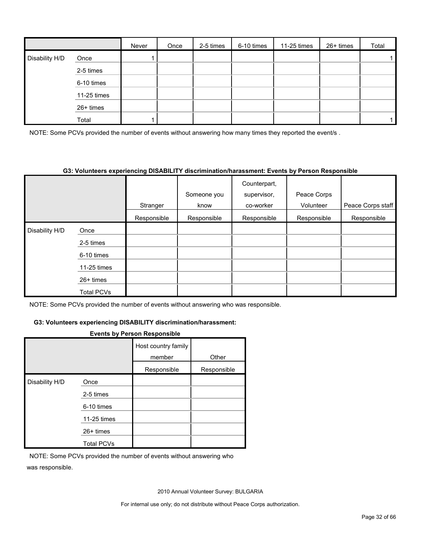|                |             | Never | Once | 2-5 times | 6-10 times | 11-25 times | 26+ times | Total |
|----------------|-------------|-------|------|-----------|------------|-------------|-----------|-------|
| Disability H/D | Once        |       |      |           |            |             |           |       |
|                | 2-5 times   |       |      |           |            |             |           |       |
|                | 6-10 times  |       |      |           |            |             |           |       |
|                | 11-25 times |       |      |           |            |             |           |       |
|                | $26+$ times |       |      |           |            |             |           |       |
|                | Total       |       |      |           |            |             |           |       |

NOTE: Some PCVs provided the number of events without answering how many times they reported the event/s.

#### **G3: Volunteers experiencing DISABILITY discrimination/harassment: Events by Person Responsible**

|                |                   |             | Someone you | Counterpart,<br>supervisor, | Peace Corps |                   |
|----------------|-------------------|-------------|-------------|-----------------------------|-------------|-------------------|
|                |                   |             |             |                             |             |                   |
|                |                   | Stranger    | know        | co-worker                   | Volunteer   | Peace Corps staff |
|                |                   | Responsible | Responsible | Responsible                 | Responsible | Responsible       |
| Disability H/D | Once              |             |             |                             |             |                   |
|                | 2-5 times         |             |             |                             |             |                   |
|                | 6-10 times        |             |             |                             |             |                   |
|                | 11-25 times       |             |             |                             |             |                   |
|                | 26+ times         |             |             |                             |             |                   |
|                | <b>Total PCVs</b> |             |             |                             |             |                   |

NOTE: Some PCVs provided the number of events without answering who was responsible.

#### **G3: Volunteers experiencing DISABILITY discrimination/harassment:**

#### **Events by Person Responsible**

|                |                   | Host country family<br>member | Other       |
|----------------|-------------------|-------------------------------|-------------|
|                |                   | Responsible                   | Responsible |
| Disability H/D | Once              |                               |             |
|                | 2-5 times         |                               |             |
|                | 6-10 times        |                               |             |
|                | 11-25 times       |                               |             |
|                | $26+$ times       |                               |             |
|                | <b>Total PCVs</b> |                               |             |

NOTE: Some PCVs provided the number of events without answering who was responsible.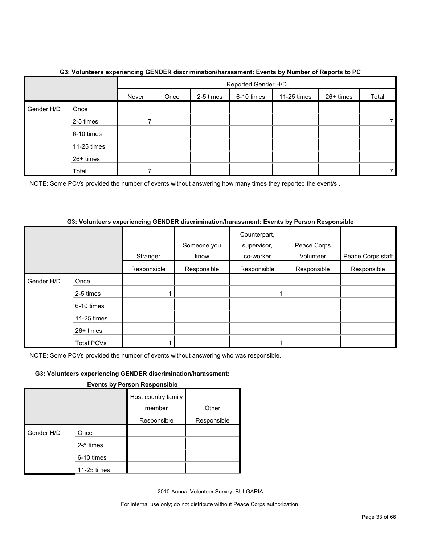|            |             | - -   | Reported Gender H/D |           |            |             |           |       |
|------------|-------------|-------|---------------------|-----------|------------|-------------|-----------|-------|
|            |             | Never | Once                | 2-5 times | 6-10 times | 11-25 times | 26+ times | Total |
| Gender H/D | Once        |       |                     |           |            |             |           |       |
|            | 2-5 times   |       |                     |           |            |             |           |       |
|            | 6-10 times  |       |                     |           |            |             |           |       |
|            | 11-25 times |       |                     |           |            |             |           |       |
|            | 26+ times   |       |                     |           |            |             |           |       |
|            | Total       |       |                     |           |            |             |           |       |

# **G3: Volunteers experiencing GENDER discrimination/harassment: Events by Number of Reports to PC**

NOTE: Some PCVs provided the number of events without answering how many times they reported the event/s.

#### **G3: Volunteers experiencing GENDER discrimination/harassment: Events by Person Responsible**

|            |             | Stranger    | Someone you<br>know | Counterpart,<br>supervisor,<br>co-worker | Peace Corps<br>Volunteer | Peace Corps staff |
|------------|-------------|-------------|---------------------|------------------------------------------|--------------------------|-------------------|
|            |             | Responsible | Responsible         | Responsible                              | Responsible              | Responsible       |
| Gender H/D | Once        |             |                     |                                          |                          |                   |
|            | 2-5 times   |             |                     |                                          |                          |                   |
|            | 6-10 times  |             |                     |                                          |                          |                   |
|            | 11-25 times |             |                     |                                          |                          |                   |
|            | 26+ times   |             |                     |                                          |                          |                   |
|            | Total PCVs  |             |                     |                                          |                          |                   |

NOTE: Some PCVs provided the number of events without answering who was responsible.

## **G3: Volunteers experiencing GENDER discrimination/harassment:**

#### **Events by Person Responsible**

|            |             | Host country family<br>member | Other       |
|------------|-------------|-------------------------------|-------------|
|            |             | Responsible                   | Responsible |
| Gender H/D | Once        |                               |             |
|            | 2-5 times   |                               |             |
|            | 6-10 times  |                               |             |
|            | 11-25 times |                               |             |

2010 Annual Volunteer Survey: BULGARIA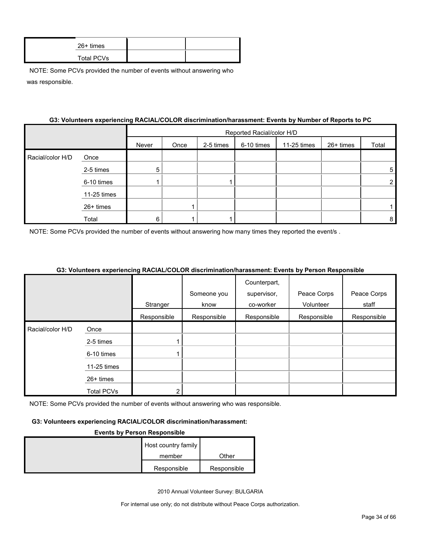| $26+$ times       |  |
|-------------------|--|
| <b>Total PCVs</b> |  |

|                  | G3: Volunteers experiencing RACIAL/COLOR discrimination/harassment: Events by Number of Reports to PC |       |                           |           |            |             |           |       |
|------------------|-------------------------------------------------------------------------------------------------------|-------|---------------------------|-----------|------------|-------------|-----------|-------|
|                  |                                                                                                       |       | Reported Racial/color H/D |           |            |             |           |       |
|                  |                                                                                                       | Never | Once                      | 2-5 times | 6-10 times | 11-25 times | 26+ times | Total |
| Racial/color H/D | Once                                                                                                  |       |                           |           |            |             |           |       |
|                  | 2-5 times                                                                                             | 5     |                           |           |            |             |           | 5     |
|                  | 6-10 times                                                                                            |       |                           |           |            |             |           |       |
|                  | 11-25 times                                                                                           |       |                           |           |            |             |           |       |
|                  | $26+$ times                                                                                           |       |                           |           |            |             |           |       |
|                  | Total                                                                                                 | 6     |                           |           |            |             |           | 8     |

#### **G3: Volunteers experiencing RACIAL/COLOR discrimination/harassment: Events by Number of Reports to PC**

NOTE: Some PCVs provided the number of events without answering how many times they reported the event/s.

#### **G3: Volunteers experiencing RACIAL/COLOR discrimination/harassment: Events by Person Responsible**

|                  |                   |             |             | Counterpart, |             |             |
|------------------|-------------------|-------------|-------------|--------------|-------------|-------------|
|                  |                   |             | Someone you | supervisor,  | Peace Corps | Peace Corps |
|                  |                   | Stranger    | know        | co-worker    | Volunteer   | staff       |
|                  |                   | Responsible | Responsible | Responsible  | Responsible | Responsible |
| Racial/color H/D | Once              |             |             |              |             |             |
|                  | 2-5 times         |             |             |              |             |             |
|                  | 6-10 times        |             |             |              |             |             |
|                  | 11-25 times       |             |             |              |             |             |
|                  | $26+$ times       |             |             |              |             |             |
|                  | <b>Total PCVs</b> | ົ           |             |              |             |             |

NOTE: Some PCVs provided the number of events without answering who was responsible.

#### **G3: Volunteers experiencing RACIAL/COLOR discrimination/harassment:**

#### **Events by Person Responsible**

| Host country family |             |
|---------------------|-------------|
| member              | Other       |
| Responsible         | Responsible |

2010 Annual Volunteer Survey: BULGARIA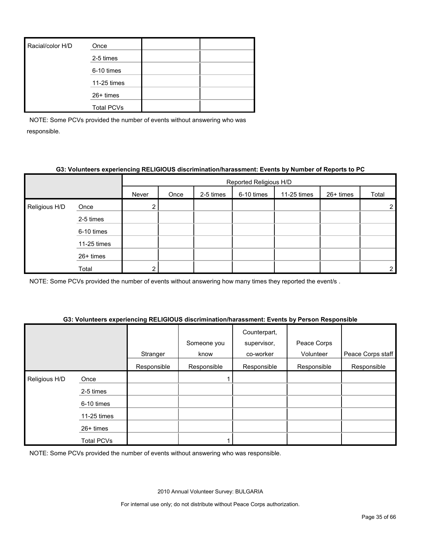| Racial/color H/D | Once              |  |
|------------------|-------------------|--|
|                  | 2-5 times         |  |
|                  | 6-10 times        |  |
|                  | 11-25 times       |  |
|                  | 26+ times         |  |
|                  | <b>Total PCVs</b> |  |

#### **G3: Volunteers experiencing RELIGIOUS discrimination/harassment: Events by Number of Reports to PC**

|               |             |       | Reported Religious H/D |           |            |             |           |                       |
|---------------|-------------|-------|------------------------|-----------|------------|-------------|-----------|-----------------------|
|               |             | Never | Once                   | 2-5 times | 6-10 times | 11-25 times | 26+ times | Total                 |
| Religious H/D | Once        |       |                        |           |            |             |           | $\mathbf{2}^{\prime}$ |
| 2-5 times     |             |       |                        |           |            |             |           |                       |
|               | 6-10 times  |       |                        |           |            |             |           |                       |
|               | 11-25 times |       |                        |           |            |             |           |                       |
|               | 26+ times   |       |                        |           |            |             |           |                       |
|               | Total       |       |                        |           |            |             |           | 2                     |

NOTE: Some PCVs provided the number of events without answering how many times they reported the event/s .

#### **G3: Volunteers experiencing RELIGIOUS discrimination/harassment: Events by Person Responsible**

|               |             | Stranger    | Someone you<br>know | Counterpart,<br>supervisor,<br>co-worker | Peace Corps<br>Volunteer | Peace Corps staff |
|---------------|-------------|-------------|---------------------|------------------------------------------|--------------------------|-------------------|
|               |             | Responsible | Responsible         | Responsible                              | Responsible              | Responsible       |
| Religious H/D | Once        |             |                     |                                          |                          |                   |
|               | 2-5 times   |             |                     |                                          |                          |                   |
|               | 6-10 times  |             |                     |                                          |                          |                   |
|               | 11-25 times |             |                     |                                          |                          |                   |
|               | 26+ times   |             |                     |                                          |                          |                   |
|               | Total PCVs  |             |                     |                                          |                          |                   |

NOTE: Some PCVs provided the number of events without answering who was responsible.

2010 Annual Volunteer Survey: BULGARIA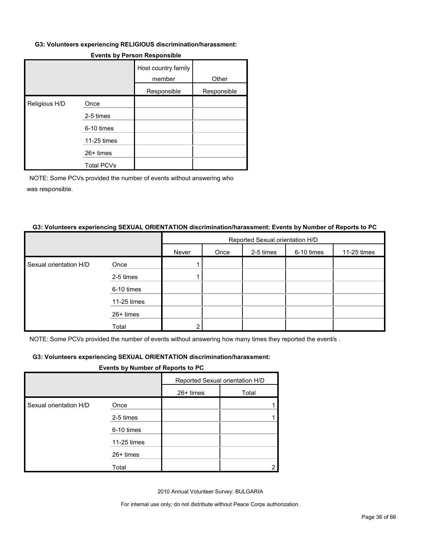#### **G3: Volunteers experiencing RELIGIOUS discrimination/harassment:**

|               |                   | Host country family<br>member | Other       |
|---------------|-------------------|-------------------------------|-------------|
|               |                   | Responsible                   | Responsible |
| Religious H/D | Once              |                               |             |
|               | 2-5 times         |                               |             |
|               | 6-10 times        |                               |             |
|               | 11-25 times       |                               |             |
|               | 26+ times         |                               |             |
|               | <b>Total PCVs</b> |                               |             |

#### **Events by Person Responsible**

NOTE: Some PCVs provided the number of events without answering who was responsible.

#### **G3: Volunteers experiencing SEXUAL ORIENTATION discrimination/harassment: Events by Number of Reports to PC**

|                        |             | Reported Sexual orientation H/D |      |           |            |             |  |
|------------------------|-------------|---------------------------------|------|-----------|------------|-------------|--|
|                        |             | Never                           | Once | 2-5 times | 6-10 times | 11-25 times |  |
| Sexual orientation H/D | Once        |                                 |      |           |            |             |  |
|                        | 2-5 times   |                                 |      |           |            |             |  |
|                        | 6-10 times  |                                 |      |           |            |             |  |
|                        | 11-25 times |                                 |      |           |            |             |  |
|                        | 26+ times   |                                 |      |           |            |             |  |
|                        | Total       | ົ                               |      |           |            |             |  |

NOTE: Some PCVs provided the number of events without answering how many times they reported the event/s .

#### **G3: Volunteers experiencing SEXUAL ORIENTATION discrimination/harassment:**

#### **Events by Number of Reports to PC**

|                        |             | Reported Sexual orientation H/D |       |
|------------------------|-------------|---------------------------------|-------|
|                        |             | 26+ times                       | Total |
| Sexual orientation H/D | Once        |                                 |       |
|                        | 2-5 times   |                                 |       |
|                        | 6-10 times  |                                 |       |
|                        | 11-25 times |                                 |       |
|                        | 26+ times   |                                 |       |
|                        | Total       |                                 |       |

2010 Annual Volunteer Survey: BULGARIA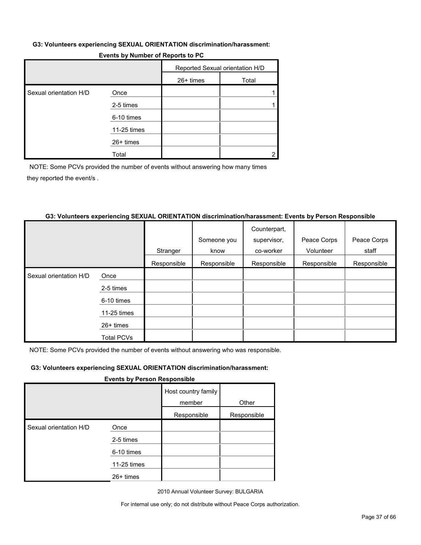#### **G3: Volunteers experiencing SEXUAL ORIENTATION discrimination/harassment:**

|                        | <b>Events by Namber of Reports to FO</b> |             |                                 |  |  |
|------------------------|------------------------------------------|-------------|---------------------------------|--|--|
|                        |                                          |             | Reported Sexual orientation H/D |  |  |
|                        |                                          | $26+$ times | Total                           |  |  |
| Sexual orientation H/D | Once                                     |             |                                 |  |  |
|                        | 2-5 times                                |             |                                 |  |  |
|                        | 6-10 times                               |             |                                 |  |  |
|                        | 11-25 times                              |             |                                 |  |  |
|                        | $26+$ times                              |             |                                 |  |  |

# **Events by Number of Reports to PC**

NOTE: Some PCVs provided the number of events without answering how many times they reported the event/s .

#### **G3: Volunteers experiencing SEXUAL ORIENTATION discrimination/harassment: Events by Person Responsible**

Total 2

|                        |                   |             |             | Counterpart, |             |             |
|------------------------|-------------------|-------------|-------------|--------------|-------------|-------------|
|                        |                   |             | Someone you | supervisor,  | Peace Corps | Peace Corps |
|                        |                   | Stranger    | know        | co-worker    | Volunteer   | staff       |
|                        |                   | Responsible | Responsible | Responsible  | Responsible | Responsible |
| Sexual orientation H/D | Once              |             |             |              |             |             |
|                        | 2-5 times         |             |             |              |             |             |
|                        | 6-10 times        |             |             |              |             |             |
|                        | 11-25 times       |             |             |              |             |             |
|                        | 26+ times         |             |             |              |             |             |
|                        | <b>Total PCVs</b> |             |             |              |             |             |

NOTE: Some PCVs provided the number of events without answering who was responsible.

#### **G3: Volunteers experiencing SEXUAL ORIENTATION discrimination/harassment:**

#### **Events by Person Responsible**

|                        |             | Host country family<br>member | Other       |
|------------------------|-------------|-------------------------------|-------------|
|                        |             | Responsible                   | Responsible |
| Sexual orientation H/D | Once        |                               |             |
|                        | 2-5 times   |                               |             |
|                        | 6-10 times  |                               |             |
|                        | 11-25 times |                               |             |
|                        | 26+ times   |                               |             |

2010 Annual Volunteer Survey: BULGARIA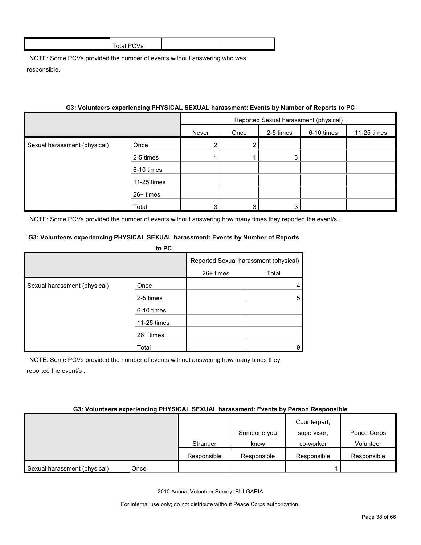| 3: VOIUNTEER'S EXPERIENCING PHYSICAL SEXUAL Narassment: Events by Number of Reports to PC |             |                                       |      |           |            |             |
|-------------------------------------------------------------------------------------------|-------------|---------------------------------------|------|-----------|------------|-------------|
|                                                                                           |             | Reported Sexual harassment (physical) |      |           |            |             |
|                                                                                           |             | Never                                 | Once | 2-5 times | 6-10 times | 11-25 times |
| Sexual harassment (physical)                                                              | Once        | 2                                     | 2    |           |            |             |
|                                                                                           | 2-5 times   |                                       |      | 3         |            |             |
|                                                                                           | 6-10 times  |                                       |      |           |            |             |
|                                                                                           | 11-25 times |                                       |      |           |            |             |
|                                                                                           | $26+$ times |                                       |      |           |            |             |
|                                                                                           | Total       | 3                                     | 3    |           |            |             |

# **G3: Volunteers experiencing PHYSICAL SEXUAL harassment: Events by Number of Reports to PC**

NOTE: Some PCVs provided the number of events without answering how many times they reported the event/s.

#### **G3: Volunteers experiencing PHYSICAL SEXUAL harassment: Events by Number of Reports**

|                              | to PC       |                                       |       |
|------------------------------|-------------|---------------------------------------|-------|
|                              |             | Reported Sexual harassment (physical) |       |
|                              |             | $26+$ times                           | Total |
| Sexual harassment (physical) | Once        |                                       |       |
|                              | 2-5 times   |                                       | 5     |
|                              | 6-10 times  |                                       |       |
|                              | 11-25 times |                                       |       |
|                              | $26+$ times |                                       |       |
|                              | Total       |                                       | 9     |

NOTE: Some PCVs provided the number of events without answering how many times they reported the event/s .

#### **G3: Volunteers experiencing PHYSICAL SEXUAL harassment: Events by Person Responsible**

|                              |      |             | Someone you | Counterpart,<br>supervisor, | Peace Corps |
|------------------------------|------|-------------|-------------|-----------------------------|-------------|
|                              |      | Stranger    | know        | co-worker                   | Volunteer   |
|                              |      | Responsible | Responsible | Responsible                 | Responsible |
| Sexual harassment (physical) | Once |             |             |                             |             |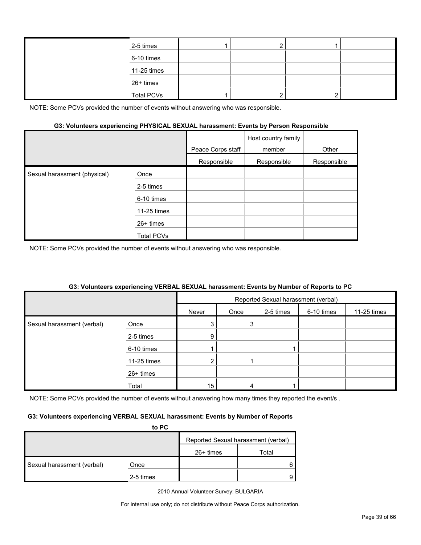| 2-5 times         |  |  |
|-------------------|--|--|
| 6-10 times        |  |  |
| 11-25 times       |  |  |
| 26+ times         |  |  |
| <b>Total PCVs</b> |  |  |

#### **G3: Volunteers experiencing PHYSICAL SEXUAL harassment: Events by Person Responsible**

|                              |             | Peace Corps staff | Host country family<br>member | Other       |
|------------------------------|-------------|-------------------|-------------------------------|-------------|
|                              |             | Responsible       | Responsible                   | Responsible |
| Sexual harassment (physical) | Once        |                   |                               |             |
|                              | 2-5 times   |                   |                               |             |
|                              | 6-10 times  |                   |                               |             |
|                              | 11-25 times |                   |                               |             |
|                              | $26+$ times |                   |                               |             |
|                              | Total PCVs  |                   |                               |             |

NOTE: Some PCVs provided the number of events without answering who was responsible.

#### **G3: Volunteers experiencing VERBAL SEXUAL harassment: Events by Number of Reports to PC**

|                            |             | Reported Sexual harassment (verbal) |      |           |            |             |
|----------------------------|-------------|-------------------------------------|------|-----------|------------|-------------|
|                            |             | Never                               | Once | 2-5 times | 6-10 times | 11-25 times |
| Sexual harassment (verbal) | Once        | 3                                   | 3    |           |            |             |
|                            | 2-5 times   | 9                                   |      |           |            |             |
|                            | 6-10 times  |                                     |      |           |            |             |
|                            | 11-25 times | $\overline{2}$                      |      |           |            |             |
|                            | 26+ times   |                                     |      |           |            |             |
|                            | Total       | 15 <sub>1</sub>                     | 4    |           |            |             |

NOTE: Some PCVs provided the number of events without answering how many times they reported the event/s.

#### **G3: Volunteers experiencing VERBAL SEXUAL harassment: Events by Number of Reports**

|                            | to PC     |                                     |       |  |  |
|----------------------------|-----------|-------------------------------------|-------|--|--|
|                            |           | Reported Sexual harassment (verbal) |       |  |  |
|                            |           | $26+$ times                         | Total |  |  |
| Sexual harassment (verbal) | Once      |                                     |       |  |  |
|                            | 2-5 times |                                     |       |  |  |

2010 Annual Volunteer Survey: BULGARIA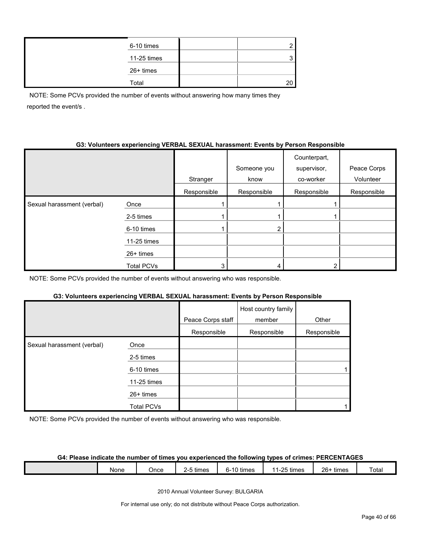| 6-10 times  |    |
|-------------|----|
| 11-25 times |    |
| 26+ times   |    |
| Total       | 20 |

NOTE: Some PCVs provided the number of events without answering how many times they reported the event/s .

#### **G3: Volunteers experiencing VERBAL SEXUAL harassment: Events by Person Responsible**

|                            |                   | Stranger    | Someone you<br>know | Counterpart,<br>supervisor,<br>co-worker | Peace Corps<br>Volunteer |
|----------------------------|-------------------|-------------|---------------------|------------------------------------------|--------------------------|
|                            |                   | Responsible | Responsible         | Responsible                              | Responsible              |
| Sexual harassment (verbal) | Once              |             |                     |                                          |                          |
|                            | 2-5 times         |             |                     |                                          |                          |
|                            | 6-10 times        |             |                     |                                          |                          |
|                            | 11-25 times       |             |                     |                                          |                          |
|                            | 26+ times         |             |                     |                                          |                          |
|                            | <b>Total PCVs</b> | 3           |                     | ◠                                        |                          |

NOTE: Some PCVs provided the number of events without answering who was responsible.

#### **G3: Volunteers experiencing VERBAL SEXUAL harassment: Events by Person Responsible**

|                            |                   | Peace Corps staff | Host country family<br>member | Other       |
|----------------------------|-------------------|-------------------|-------------------------------|-------------|
|                            |                   | Responsible       | Responsible                   | Responsible |
| Sexual harassment (verbal) | Once              |                   |                               |             |
|                            | 2-5 times         |                   |                               |             |
|                            | 6-10 times        |                   |                               |             |
|                            | 11-25 times       |                   |                               |             |
|                            | $26+$ times       |                   |                               |             |
|                            | <b>Total PCVs</b> |                   |                               |             |

NOTE: Some PCVs provided the number of events without answering who was responsible.

# **G4: Please indicate the number of times you experienced the following types of crimes: PERCENTAGES**

| None | Jnce | $ -$<br>times<br>. . | റ-10 <sup>ല</sup><br>times | $\Omega$ E tin<br>times<br>$\overline{ }$<br>$\mathbf{r} = \mathbf{r}$<br>້ | $26 -$<br>times | otal <sup>.</sup> |
|------|------|----------------------|----------------------------|-----------------------------------------------------------------------------|-----------------|-------------------|
|      |      |                      |                            |                                                                             |                 |                   |

2010 Annual Volunteer Survey: BULGARIA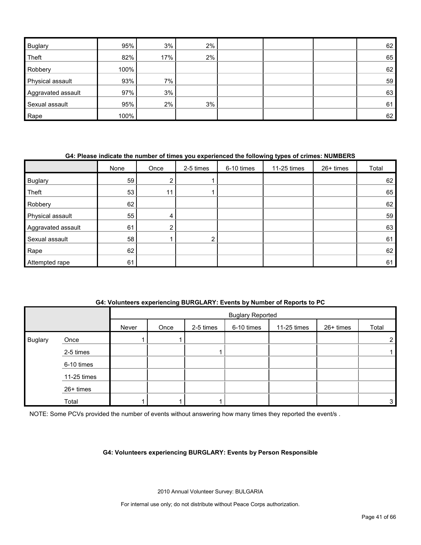| <b>Buglary</b>     | 95%  | 3%    | $2\%$ |  | 62 |
|--------------------|------|-------|-------|--|----|
| Theft              | 82%  | 17%   | 2%    |  | 65 |
| Robbery            | 100% |       |       |  | 62 |
| Physical assault   | 93%  | $7\%$ |       |  | 59 |
| Aggravated assault | 97%  | 3%    |       |  | 63 |
| Sexual assault     | 95%  | 2%    | 3%    |  | 61 |
| Rape               | 100% |       |       |  | 62 |

#### **G4: Please indicate the number of times you experienced the following types of crimes: NUMBERS**

|                    | None | Once           | 2-5 times     | 6-10 times | 11-25 times | 26+ times | Total |
|--------------------|------|----------------|---------------|------------|-------------|-----------|-------|
| <b>Buglary</b>     | 59   |                |               |            |             |           | 62    |
| Theft              | 53   | 11             |               |            |             |           | 65    |
| Robbery            | 62   |                |               |            |             |           | 62    |
| Physical assault   | 55   | 4              |               |            |             |           | 59    |
| Aggravated assault | 61   | $\overline{2}$ |               |            |             |           | 63    |
| Sexual assault     | 58   |                | ⌒<br><u>L</u> |            |             |           | 61    |
| Rape               | 62   |                |               |            |             |           | 62    |
| Attempted rape     | 61   |                |               |            |             |           | 61    |

#### **G4: Volunteers experiencing BURGLARY: Events by Number of Reports to PC**

|                |             |       | <b>Buglary Reported</b> |           |            |             |           |                |
|----------------|-------------|-------|-------------------------|-----------|------------|-------------|-----------|----------------|
|                |             | Never | Once                    | 2-5 times | 6-10 times | 11-25 times | 26+ times | Total          |
| <b>Buglary</b> | Once        |       |                         |           |            |             |           | $\overline{2}$ |
|                | 2-5 times   |       |                         |           |            |             |           |                |
|                | 6-10 times  |       |                         |           |            |             |           |                |
|                | 11-25 times |       |                         |           |            |             |           |                |
|                | 26+ times   |       |                         |           |            |             |           |                |
|                | Total       |       |                         |           |            |             |           | 3              |

NOTE: Some PCVs provided the number of events without answering how many times they reported the event/s.

#### **G4: Volunteers experiencing BURGLARY: Events by Person Responsible**

2010 Annual Volunteer Survey: BULGARIA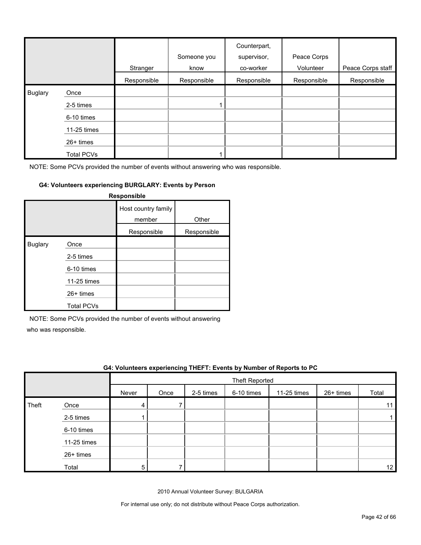|                |                   | Stranger    | Someone you<br>know | Counterpart,<br>supervisor,<br>co-worker | Peace Corps<br>Volunteer | Peace Corps staff |
|----------------|-------------------|-------------|---------------------|------------------------------------------|--------------------------|-------------------|
|                |                   | Responsible | Responsible         | Responsible                              | Responsible              | Responsible       |
| <b>Buglary</b> | Once              |             |                     |                                          |                          |                   |
|                | 2-5 times         |             |                     |                                          |                          |                   |
|                | 6-10 times        |             |                     |                                          |                          |                   |
|                | 11-25 times       |             |                     |                                          |                          |                   |
|                | $26+$ times       |             |                     |                                          |                          |                   |
|                | <b>Total PCVs</b> |             |                     |                                          |                          |                   |

#### **G4: Volunteers experiencing BURGLARY: Events by Person**

|                |                   | Responsible                   |             |
|----------------|-------------------|-------------------------------|-------------|
|                |                   | Host country family<br>member | Other       |
|                |                   | Responsible                   | Responsible |
| <b>Buglary</b> | Once              |                               |             |
|                | 2-5 times         |                               |             |
|                | 6-10 times        |                               |             |
|                | 11-25 times       |                               |             |
|                | $26+$ times       |                               |             |
|                | <b>Total PCVs</b> |                               |             |

NOTE: Some PCVs provided the number of events without answering

who was responsible.

|       | G4: Volunteers experiencing THEFT: Events by Number of Reports to PC |       |      |           |                       |             |             |       |
|-------|----------------------------------------------------------------------|-------|------|-----------|-----------------------|-------------|-------------|-------|
|       |                                                                      |       |      |           | <b>Theft Reported</b> |             |             |       |
|       |                                                                      | Never | Once | 2-5 times | 6-10 times            | 11-25 times | $26+$ times | Total |
| Theft | Once                                                                 |       |      |           |                       |             |             |       |
|       | 2-5 times                                                            |       |      |           |                       |             |             |       |
|       | 6-10 times                                                           |       |      |           |                       |             |             |       |
|       | 11-25 times                                                          |       |      |           |                       |             |             |       |
|       | 26+ times                                                            |       |      |           |                       |             |             |       |
|       | Total                                                                | 5     |      |           |                       |             |             | 12    |

2010 Annual Volunteer Survey: BULGARIA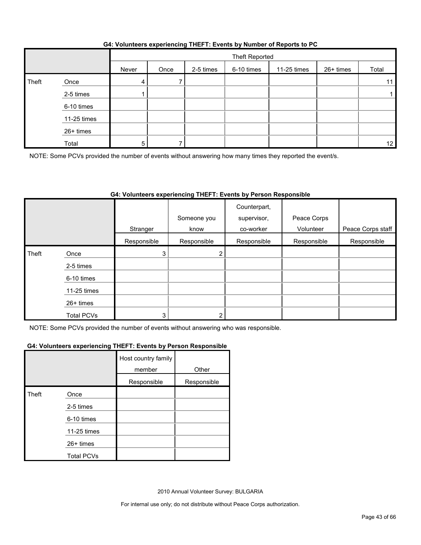#### **G4: Volunteers experiencing THEFT: Events by Number of Reports to PC**

|       |             |       | Theft Reported |           |            |             |           |       |
|-------|-------------|-------|----------------|-----------|------------|-------------|-----------|-------|
|       |             | Never | Once           | 2-5 times | 6-10 times | 11-25 times | 26+ times | Total |
| Theft | Once        | 4     |                |           |            |             |           | 11    |
|       | 2-5 times   |       |                |           |            |             |           |       |
|       | 6-10 times  |       |                |           |            |             |           |       |
|       | 11-25 times |       |                |           |            |             |           |       |
|       | 26+ times   |       |                |           |            |             |           |       |
|       | Total       | 5     |                |           |            |             |           | 12    |

NOTE: Some PCVs provided the number of events without answering how many times they reported the event/s.

## **G4: Volunteers experiencing THEFT: Events by Person Responsible**

|       |                   |             | Someone you | Counterpart,<br>supervisor, | Peace Corps |                   |
|-------|-------------------|-------------|-------------|-----------------------------|-------------|-------------------|
|       |                   | Stranger    | know        | co-worker                   | Volunteer   | Peace Corps staff |
|       |                   | Responsible | Responsible | Responsible                 | Responsible | Responsible       |
| Theft | Once              | 3           |             |                             |             |                   |
|       | 2-5 times         |             |             |                             |             |                   |
|       | 6-10 times        |             |             |                             |             |                   |
|       | 11-25 times       |             |             |                             |             |                   |
|       | 26+ times         |             |             |                             |             |                   |
|       | <b>Total PCVs</b> | 3           |             |                             |             |                   |

NOTE: Some PCVs provided the number of events without answering who was responsible.

#### **G4: Volunteers experiencing THEFT: Events by Person Responsible**

|       |                   | Host country family<br>member | Other       |
|-------|-------------------|-------------------------------|-------------|
|       |                   | Responsible                   | Responsible |
| Theft | Once              |                               |             |
|       | 2-5 times         |                               |             |
|       | 6-10 times        |                               |             |
|       | 11-25 times       |                               |             |
|       | $26+$ times       |                               |             |
|       | <b>Total PCVs</b> |                               |             |

2010 Annual Volunteer Survey: BULGARIA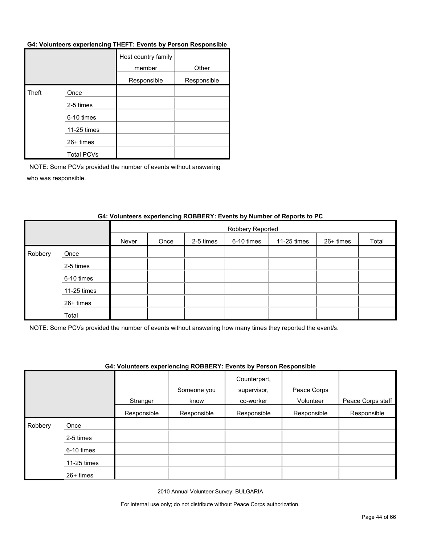#### **G4: Volunteers experiencing THEFT: Events by Person Responsible**

|       |                   | Host country family<br>member | Other       |
|-------|-------------------|-------------------------------|-------------|
|       |                   | Responsible                   | Responsible |
| Theft | Once              |                               |             |
|       | 2-5 times         |                               |             |
|       | 6-10 times        |                               |             |
|       | 11-25 times       |                               |             |
|       | 26+ times         |                               |             |
|       | <b>Total PCVs</b> |                               |             |

NOTE: Some PCVs provided the number of events without answering who was responsible.

|         |             | Robbery Reported |      |           |            |             |           |       |
|---------|-------------|------------------|------|-----------|------------|-------------|-----------|-------|
|         |             | Never            | Once | 2-5 times | 6-10 times | 11-25 times | 26+ times | Total |
| Robbery | Once        |                  |      |           |            |             |           |       |
|         | 2-5 times   |                  |      |           |            |             |           |       |
|         | 6-10 times  |                  |      |           |            |             |           |       |
|         | 11-25 times |                  |      |           |            |             |           |       |
|         | 26+ times   |                  |      |           |            |             |           |       |
|         | Total       |                  |      |           |            |             |           |       |

## **G4: Volunteers experiencing ROBBERY: Events by Number of Reports to PC**

NOTE: Some PCVs provided the number of events without answering how many times they reported the event/s.

#### **G4: Volunteers experiencing ROBBERY: Events by Person Responsible**

|         |             |             |             | Counterpart, |             |                   |
|---------|-------------|-------------|-------------|--------------|-------------|-------------------|
|         |             |             | Someone you | supervisor,  | Peace Corps |                   |
|         |             | Stranger    | know        | co-worker    | Volunteer   | Peace Corps staff |
|         |             | Responsible | Responsible | Responsible  | Responsible | Responsible       |
| Robbery | Once        |             |             |              |             |                   |
|         | 2-5 times   |             |             |              |             |                   |
|         | 6-10 times  |             |             |              |             |                   |
|         | 11-25 times |             |             |              |             |                   |
|         | 26+ times   |             |             |              |             |                   |

2010 Annual Volunteer Survey: BULGARIA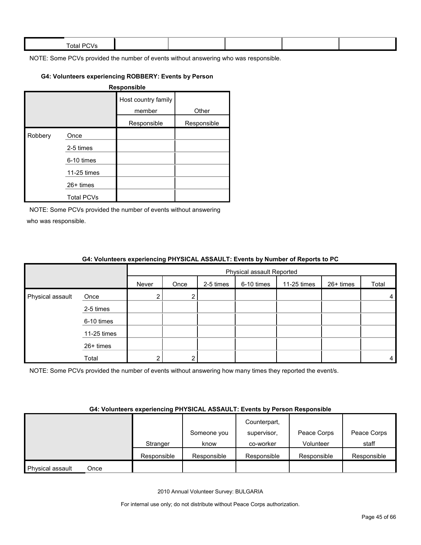| $ -$<br><b>Total PL</b><br>$\mathbf{v}$ |  |  |  |
|-----------------------------------------|--|--|--|
|                                         |  |  |  |

## **G4: Volunteers experiencing ROBBERY: Events by Person**

| Responsible |                   |                               |             |  |  |  |
|-------------|-------------------|-------------------------------|-------------|--|--|--|
|             |                   | Host country family<br>member | Other       |  |  |  |
|             |                   | Responsible                   | Responsible |  |  |  |
| Robbery     | Once              |                               |             |  |  |  |
|             | 2-5 times         |                               |             |  |  |  |
|             | 6-10 times        |                               |             |  |  |  |
|             | 11-25 times       |                               |             |  |  |  |
|             | $26+$ times       |                               |             |  |  |  |
|             | <b>Total PCVs</b> |                               |             |  |  |  |

NOTE: Some PCVs provided the number of events without answering who was responsible.

|                  |             | <b>One common oxygenoments in coordinate reduced in Evento by number of nopono to re</b> |                           |           |            |             |           |                |  |
|------------------|-------------|------------------------------------------------------------------------------------------|---------------------------|-----------|------------|-------------|-----------|----------------|--|
|                  |             |                                                                                          | Physical assault Reported |           |            |             |           |                |  |
|                  |             | Never                                                                                    | Once                      | 2-5 times | 6-10 times | 11-25 times | 26+ times | Total          |  |
| Physical assault | Once        |                                                                                          |                           |           |            |             |           | $\overline{4}$ |  |
|                  | 2-5 times   |                                                                                          |                           |           |            |             |           |                |  |
|                  | 6-10 times  |                                                                                          |                           |           |            |             |           |                |  |
|                  | 11-25 times |                                                                                          |                           |           |            |             |           |                |  |
|                  | 26+ times   |                                                                                          |                           |           |            |             |           |                |  |
|                  | Total       |                                                                                          | ົ                         |           |            |             |           | 4              |  |

#### **G4: Volunteers experiencing PHYSICAL ASSAULT: Events by Number of Reports to PC**

NOTE: Some PCVs provided the number of events without answering how many times they reported the event/s.

#### **G4: Volunteers experiencing PHYSICAL ASSAULT: Events by Person Responsible**

|                  |      |             |             | Counterpart, |             |             |
|------------------|------|-------------|-------------|--------------|-------------|-------------|
|                  |      |             | Someone you | supervisor,  | Peace Corps | Peace Corps |
|                  |      | Stranger    | know        | co-worker    | Volunteer   | staff       |
|                  |      | Responsible | Responsible | Responsible  | Responsible | Responsible |
| Physical assault | Once |             |             |              |             |             |

2010 Annual Volunteer Survey: BULGARIA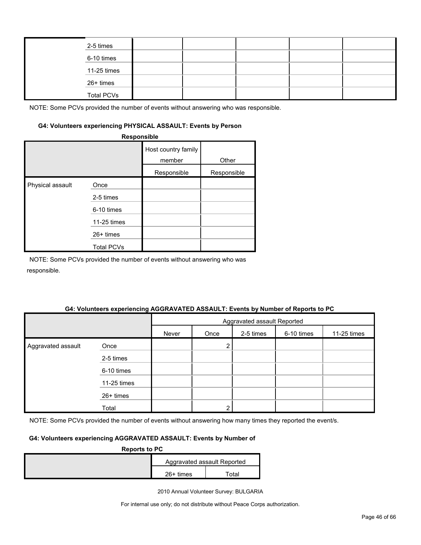|  | 2-5 times         |  |  |  |
|--|-------------------|--|--|--|
|  | 6-10 times        |  |  |  |
|  | 11-25 times       |  |  |  |
|  | 26+ times         |  |  |  |
|  | <b>Total PCVs</b> |  |  |  |

#### **G4: Volunteers experiencing PHYSICAL ASSAULT: Events by Person**

|                  | Responsible       |                               |             |
|------------------|-------------------|-------------------------------|-------------|
|                  |                   | Host country family<br>member | Other       |
|                  |                   | Responsible                   | Responsible |
| Physical assault | Once              |                               |             |
|                  | 2-5 times         |                               |             |
|                  | 6-10 times        |                               |             |
|                  | 11-25 times       |                               |             |
|                  | 26+ times         |                               |             |
|                  | <b>Total PCVs</b> |                               |             |

NOTE: Some PCVs provided the number of events without answering who was responsible.

#### **G4: Volunteers experiencing AGGRAVATED ASSAULT: Events by Number of Reports to PC**

|                    |             | Aggravated assault Reported |      |           |            |             |  |
|--------------------|-------------|-----------------------------|------|-----------|------------|-------------|--|
|                    |             | Never                       | Once | 2-5 times | 6-10 times | 11-25 times |  |
| Aggravated assault | Once        |                             | 2    |           |            |             |  |
|                    | 2-5 times   |                             |      |           |            |             |  |
|                    | 6-10 times  |                             |      |           |            |             |  |
|                    | 11-25 times |                             |      |           |            |             |  |
|                    | 26+ times   |                             |      |           |            |             |  |
|                    | Total       |                             | ົ    |           |            |             |  |

NOTE: Some PCVs provided the number of events without answering how many times they reported the event/s.

#### **G4: Volunteers experiencing AGGRAVATED ASSAULT: Events by Number of**

| <b>Reports to PC</b> |             |                             |  |  |  |  |
|----------------------|-------------|-----------------------------|--|--|--|--|
|                      |             | Aggravated assault Reported |  |  |  |  |
|                      | $26+$ times | Total                       |  |  |  |  |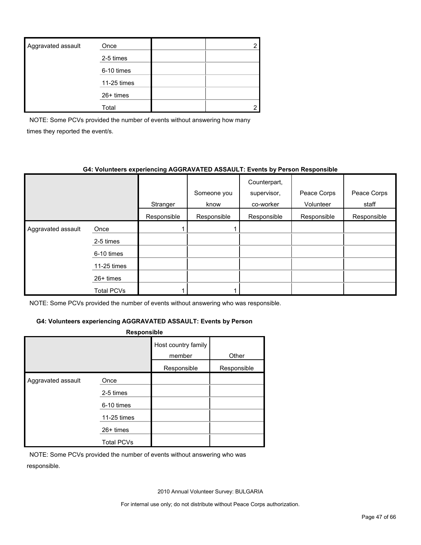| Aggravated assault | Once        |  |
|--------------------|-------------|--|
|                    | 2-5 times   |  |
|                    | 6-10 times  |  |
|                    | 11-25 times |  |
|                    | $26+$ times |  |
|                    | Total       |  |

NOTE: Some PCVs provided the number of events without answering how many times they reported the event/s.

#### **G4: Volunteers experiencing AGGRAVATED ASSAULT: Events by Person Responsible**

|                    |             | Stranger    | Someone you<br>know | Counterpart,<br>supervisor,<br>co-worker | Peace Corps<br>Volunteer | Peace Corps<br>staff |
|--------------------|-------------|-------------|---------------------|------------------------------------------|--------------------------|----------------------|
|                    |             | Responsible | Responsible         | Responsible                              | Responsible              | Responsible          |
| Aggravated assault | Once        |             |                     |                                          |                          |                      |
|                    | 2-5 times   |             |                     |                                          |                          |                      |
|                    | 6-10 times  |             |                     |                                          |                          |                      |
|                    | 11-25 times |             |                     |                                          |                          |                      |
|                    | $26+$ times |             |                     |                                          |                          |                      |
|                    | Total PCVs  |             |                     |                                          |                          |                      |

NOTE: Some PCVs provided the number of events without answering who was responsible.

# **G4: Volunteers experiencing AGGRAVATED ASSAULT: Events by Person**

| <b>Responsible</b> |                   |                               |             |  |  |  |  |  |
|--------------------|-------------------|-------------------------------|-------------|--|--|--|--|--|
|                    |                   | Host country family<br>member | Other       |  |  |  |  |  |
|                    |                   | Responsible                   | Responsible |  |  |  |  |  |
| Aggravated assault | Once              |                               |             |  |  |  |  |  |
|                    | 2-5 times         |                               |             |  |  |  |  |  |
|                    | 6-10 times        |                               |             |  |  |  |  |  |
|                    | 11-25 times       |                               |             |  |  |  |  |  |
|                    | 26+ times         |                               |             |  |  |  |  |  |
|                    | <b>Total PCVs</b> |                               |             |  |  |  |  |  |

NOTE: Some PCVs provided the number of events without answering who was responsible.

2010 Annual Volunteer Survey: BULGARIA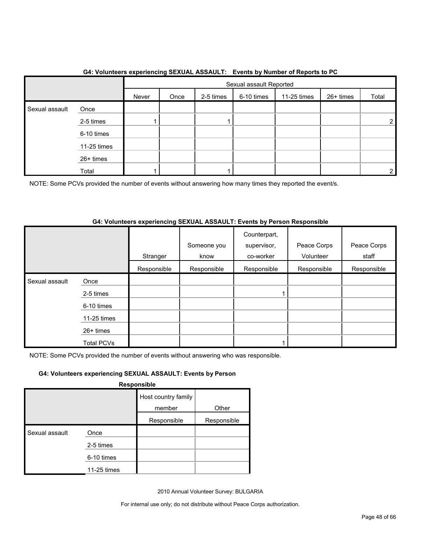|                |             |       | Sexual assault Reported |           |            |             |           |                |
|----------------|-------------|-------|-------------------------|-----------|------------|-------------|-----------|----------------|
|                |             | Never | Once                    | 2-5 times | 6-10 times | 11-25 times | 26+ times | Total          |
| Sexual assault | Once        |       |                         |           |            |             |           |                |
|                | 2-5 times   |       |                         |           |            |             |           | $\overline{2}$ |
|                | 6-10 times  |       |                         |           |            |             |           |                |
|                | 11-25 times |       |                         |           |            |             |           |                |
|                | 26+ times   |       |                         |           |            |             |           |                |
|                | Total       |       |                         |           |            |             |           | 2              |

#### **G4: Volunteers experiencing SEXUAL ASSAULT: Events by Number of Reports to PC**

NOTE: Some PCVs provided the number of events without answering how many times they reported the event/s.

#### **G4: Volunteers experiencing SEXUAL ASSAULT: Events by Person Responsible**

|                |                   | Stranger    | Someone you<br>know | Counterpart,<br>supervisor,<br>co-worker | Peace Corps<br>Volunteer | Peace Corps<br>staff |
|----------------|-------------------|-------------|---------------------|------------------------------------------|--------------------------|----------------------|
|                |                   | Responsible | Responsible         | Responsible                              | Responsible              | Responsible          |
| Sexual assault | Once              |             |                     |                                          |                          |                      |
|                | 2-5 times         |             |                     |                                          |                          |                      |
|                | 6-10 times        |             |                     |                                          |                          |                      |
|                | 11-25 times       |             |                     |                                          |                          |                      |
|                | $26+$ times       |             |                     |                                          |                          |                      |
|                | <b>Total PCVs</b> |             |                     |                                          |                          |                      |

NOTE: Some PCVs provided the number of events without answering who was responsible.

## **G4: Volunteers experiencing SEXUAL ASSAULT: Events by Person**

**Responsible**

|                |             | Host country family |             |
|----------------|-------------|---------------------|-------------|
|                |             | member              | Other       |
|                |             | Responsible         | Responsible |
| Sexual assault | Once        |                     |             |
|                | 2-5 times   |                     |             |
|                | 6-10 times  |                     |             |
|                | 11-25 times |                     |             |

2010 Annual Volunteer Survey: BULGARIA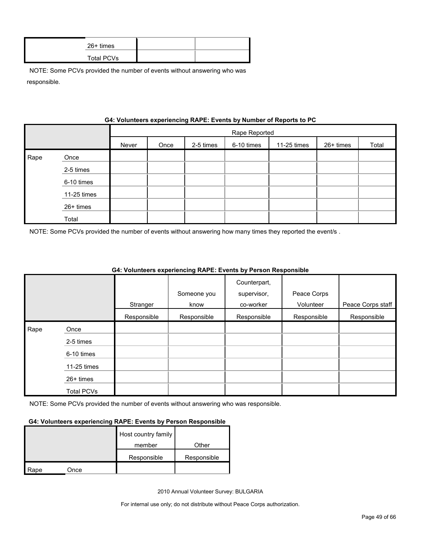| 26+ times  |  |
|------------|--|
| Total PCVs |  |

|      | G4: VOIUNTERS EXPERIENCING RAPE: EVENTS by NUMBER OF REPORTS TO PU |       |               |           |            |             |           |       |  |  |
|------|--------------------------------------------------------------------|-------|---------------|-----------|------------|-------------|-----------|-------|--|--|
|      |                                                                    |       | Rape Reported |           |            |             |           |       |  |  |
|      |                                                                    | Never | Once          | 2-5 times | 6-10 times | 11-25 times | 26+ times | Total |  |  |
| Rape | Once                                                               |       |               |           |            |             |           |       |  |  |
|      | 2-5 times                                                          |       |               |           |            |             |           |       |  |  |
|      | 6-10 times                                                         |       |               |           |            |             |           |       |  |  |
|      | 11-25 times                                                        |       |               |           |            |             |           |       |  |  |
|      | 26+ times                                                          |       |               |           |            |             |           |       |  |  |
|      | Total                                                              |       |               |           |            |             |           |       |  |  |

# **Gynorianoing PADE: Events by Number of Ban**

NOTE: Some PCVs provided the number of events without answering how many times they reported the event/s .

|      |                   |             |             | Counterpart, |             |                   |
|------|-------------------|-------------|-------------|--------------|-------------|-------------------|
|      |                   |             | Someone you | supervisor,  | Peace Corps |                   |
|      |                   | Stranger    | know        | co-worker    | Volunteer   | Peace Corps staff |
|      |                   | Responsible | Responsible | Responsible  | Responsible | Responsible       |
| Rape | Once              |             |             |              |             |                   |
|      | 2-5 times         |             |             |              |             |                   |
|      | 6-10 times        |             |             |              |             |                   |
|      | 11-25 times       |             |             |              |             |                   |
|      | 26+ times         |             |             |              |             |                   |
|      | <b>Total PCVs</b> |             |             |              |             |                   |

#### **G4: Volunteers experiencing RAPE: Events by Person Responsible**

NOTE: Some PCVs provided the number of events without answering who was responsible.

#### **G4: Volunteers experiencing RAPE: Events by Person Responsible**

|      |      | Host country family |             |
|------|------|---------------------|-------------|
|      |      | member              | Other       |
|      |      | Responsible         | Responsible |
| Rape | Once |                     |             |

2010 Annual Volunteer Survey: BULGARIA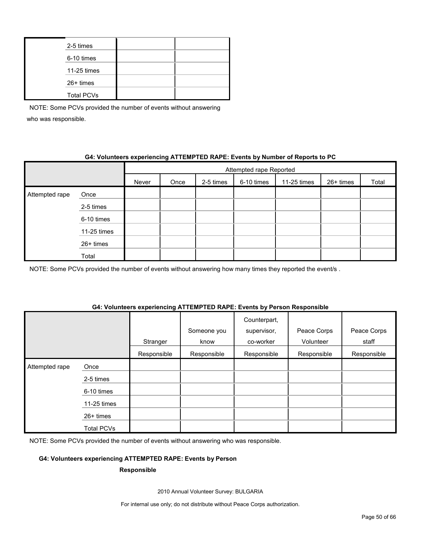| 2-5 times         |  |
|-------------------|--|
| 6-10 times        |  |
| 11-25 times       |  |
| 26+ times         |  |
| <b>Total PCVs</b> |  |

## **G4: Volunteers experiencing ATTEMPTED RAPE: Events by Number of Reports to PC**

|                |             | Attempted rape Reported |      |           |            |             |           |       |
|----------------|-------------|-------------------------|------|-----------|------------|-------------|-----------|-------|
|                |             | Never                   | Once | 2-5 times | 6-10 times | 11-25 times | 26+ times | Total |
| Attempted rape | Once        |                         |      |           |            |             |           |       |
|                | 2-5 times   |                         |      |           |            |             |           |       |
|                | 6-10 times  |                         |      |           |            |             |           |       |
|                | 11-25 times |                         |      |           |            |             |           |       |
|                | 26+ times   |                         |      |           |            |             |           |       |
|                | Total       |                         |      |           |            |             |           |       |

NOTE: Some PCVs provided the number of events without answering how many times they reported the event/s.

#### **G4: Volunteers experiencing ATTEMPTED RAPE: Events by Person Responsible**

|                |             | Stranger    | Someone you<br>know | Counterpart,<br>supervisor,<br>co-worker | Peace Corps<br>Volunteer | Peace Corps<br>staff |
|----------------|-------------|-------------|---------------------|------------------------------------------|--------------------------|----------------------|
|                |             | Responsible | Responsible         | Responsible                              | Responsible              | Responsible          |
| Attempted rape | Once        |             |                     |                                          |                          |                      |
|                | 2-5 times   |             |                     |                                          |                          |                      |
|                | 6-10 times  |             |                     |                                          |                          |                      |
|                | 11-25 times |             |                     |                                          |                          |                      |
|                | 26+ times   |             |                     |                                          |                          |                      |
|                | Total PCVs  |             |                     |                                          |                          |                      |

NOTE: Some PCVs provided the number of events without answering who was responsible.

#### **G4: Volunteers experiencing ATTEMPTED RAPE: Events by Person**

#### **Responsible**

2010 Annual Volunteer Survey: BULGARIA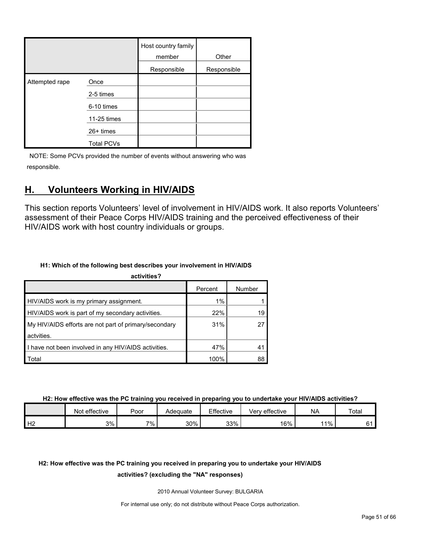|                |                   | Host country family<br>member | Other       |
|----------------|-------------------|-------------------------------|-------------|
|                |                   | Responsible                   | Responsible |
| Attempted rape | Once              |                               |             |
|                | 2-5 times         |                               |             |
|                | 6-10 times        |                               |             |
|                | 11-25 times       |                               |             |
|                | 26+ times         |                               |             |
|                | <b>Total PCVs</b> |                               |             |

# <span id="page-50-0"></span>**H. Volunteers Working in HIV/AIDS**

This section reports Volunteers' level of involvement in HIV/AIDS work. It also reports Volunteers' assessment of their Peace Corps HIV/AIDS training and the perceived effectiveness of their HIV/AIDS work with host country individuals or groups.

## **H1: Which of the following best describes your involvement in HIV/AIDS**

| activities?                                           |         |        |  |  |  |  |  |  |
|-------------------------------------------------------|---------|--------|--|--|--|--|--|--|
|                                                       | Percent | Number |  |  |  |  |  |  |
| HIV/AIDS work is my primary assignment.               | 1%      |        |  |  |  |  |  |  |
| HIV/AIDS work is part of my secondary activities.     | 22%     | 19     |  |  |  |  |  |  |
| My HIV/AIDS efforts are not part of primary/secondary | 31%     | 27     |  |  |  |  |  |  |
| actvities.                                            |         |        |  |  |  |  |  |  |
| I have not been involved in any HIV/AIDS activities.  | 47%     | 41     |  |  |  |  |  |  |
| Total                                                 | 100%    | 88     |  |  |  |  |  |  |

**H2: How effective was the PC training you received in preparing you to undertake your HIV/AIDS activities?**

|    | Not effective | Poor | Adequate | Effective | Very effective | <b>NA</b> | Total |
|----|---------------|------|----------|-----------|----------------|-----------|-------|
| Н2 | 3%            | 7%   | 30%      | 33%       | 16%            | 11%       |       |

# **H2: How effective was the PC training you received in preparing you to undertake your HIV/AIDS**

#### **activities? (excluding the "NA" responses)**

2010 Annual Volunteer Survey: BULGARIA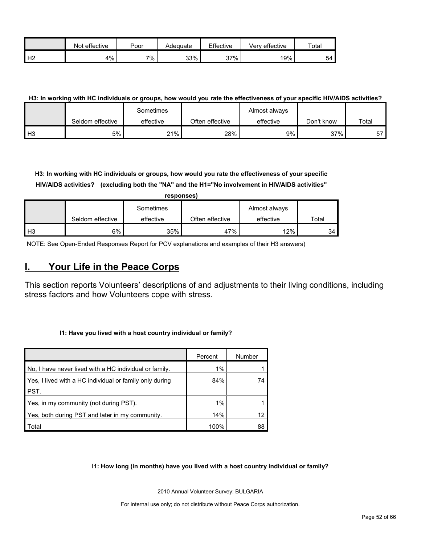|                | effective<br>Not | Poor  | Adequate | Effective | Very effective | $\tau$ otar |
|----------------|------------------|-------|----------|-----------|----------------|-------------|
| H <sub>2</sub> | 4%               | $7\%$ | 33%      | $37\%$    | 19%            | 54          |

#### **H3: In working with HC individuals or groups, how would you rate the effectiveness of your specific HIV/AIDS activities?**

|      |                  | Sometimes |                 | Almost always |            |       |
|------|------------------|-----------|-----------------|---------------|------------|-------|
|      | Seldom effective | effective | Often effective | effective     | Don't know | Total |
| l H3 | 5%               | 21%       | 28%             | 9%            | 37%        | 57    |

**H3: In working with HC individuals or groups, how would you rate the effectiveness of your specific HIV/AIDS activities? (excluding both the "NA" and the H1="No involvement in HIV/AIDS activities"** 

|                | responses)       |           |                 |               |       |  |  |  |  |
|----------------|------------------|-----------|-----------------|---------------|-------|--|--|--|--|
|                |                  | Sometimes |                 | Almost always |       |  |  |  |  |
|                | Seldom effective | effective | Often effective | effective     | Total |  |  |  |  |
| H <sub>3</sub> | 6%               | 35%       | 47%             | 12%           | 34    |  |  |  |  |

NOTE: See Open-Ended Responses Report for PCV explanations and examples of their H3 answers)

# <span id="page-51-0"></span>**I. Your Life in the Peace Corps**

This section reports Volunteers' descriptions of and adjustments to their living conditions, including stress factors and how Volunteers cope with stress.

#### **I1: Have you lived with a host country individual or family?**

|                                                         | Percent | Number |
|---------------------------------------------------------|---------|--------|
| No, I have never lived with a HC individual or family.  | 1%      |        |
| Yes, I lived with a HC individual or family only during | 84%     | 74     |
| PST.                                                    |         |        |
| Yes, in my community (not during PST).                  | $1\%$   |        |
| Yes, both during PST and later in my community.         | 14%     |        |
| Total                                                   | 100%    | 88     |

#### **I1: How long (in months) have you lived with a host country individual or family?**

2010 Annual Volunteer Survey: BULGARIA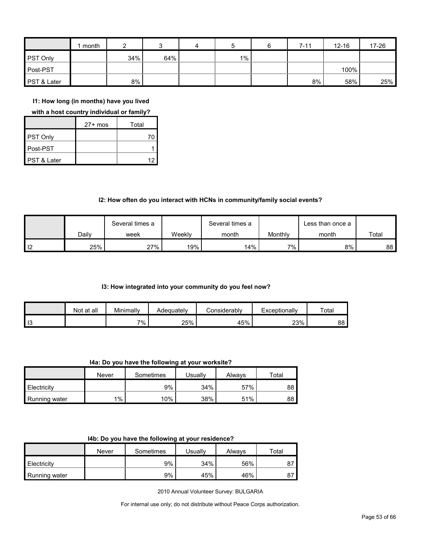|                        | month |     |     | 4 | 5     | $7 - 11$ | $12 - 16$ | 17-26 |
|------------------------|-------|-----|-----|---|-------|----------|-----------|-------|
| <b>PST Only</b>        |       | 34% | 64% |   | $1\%$ |          |           |       |
| Post-PST               |       |     |     |   |       |          | 100%      |       |
| <b>PST &amp; Later</b> |       | 8%  |     |   |       | 8%       | 58%       | 25%   |

**I1: How long (in months) have you lived** 

#### **with a host country individual or family?**

|             | $27+$ mos | Total |
|-------------|-----------|-------|
| PST Only    |           |       |
| Post-PST    |           |       |
| PST & Later |           |       |

#### **I2: How often do you interact with HCNs in community/family social events?**

|    |       | Several times a |        | Several times a |         | Less than once a |       |
|----|-------|-----------------|--------|-----------------|---------|------------------|-------|
|    | Dailv | week            | Weeklv | month           | Monthly | month            | Total |
| 12 | 25%   | 27%             | 19%    | 14%             | 7%      | 8%               | 88    |

#### **I3: How integrated into your community do you feel now?**

|    | Not at all | Minimally | Adeauatelv | :onsiderablv | Exceptionally | Total |
|----|------------|-----------|------------|--------------|---------------|-------|
| 13 |            | $7\%$     | 25%        | 45%          | 23%           | 88    |

**I4a: Do you have the following at your worksite?**

|               | Never | Sometimes | Jsuallv | Alwavs | Total |
|---------------|-------|-----------|---------|--------|-------|
| Electricity   |       | 9%        | 34%     | 57%    | 88    |
| Running water | $1\%$ | $10\%$    | 38%     | 51%    | 88    |

|  |  |  |  |  | 14b: Do you have the following at your residence? |
|--|--|--|--|--|---------------------------------------------------|
|--|--|--|--|--|---------------------------------------------------|

|               | Never | Sometimes | Usuallv | Always | ⊤otal |
|---------------|-------|-----------|---------|--------|-------|
| Electricity   |       | 9%        | 34%     | 56%    | ، ہ   |
| Running water |       | 9%        | 45%     | 46%    | 87    |

2010 Annual Volunteer Survey: BULGARIA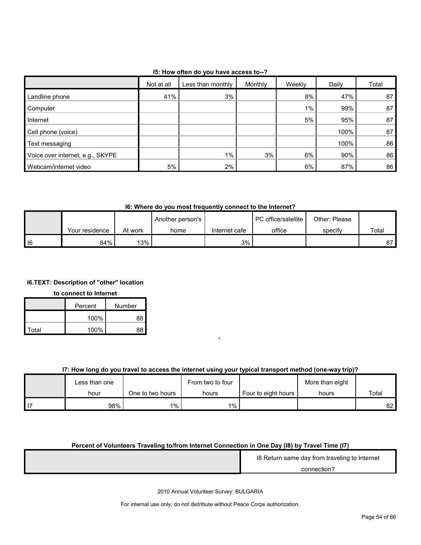## **I5: How often do you have access to--?**

|                                  | Not at all | Less than monthly | Monthly | Weekly | Daily | Total |
|----------------------------------|------------|-------------------|---------|--------|-------|-------|
| Landline phone                   | 41%        | 3%                |         | 8%     | 47%   | 87    |
| Computer                         |            |                   |         | $1\%$  | 99%   | 87    |
| Internet                         |            |                   |         | 5%     | 95%   | 87    |
| Cell phone (voice)               |            |                   |         |        | 100%  | 87    |
| Text messaging                   |            |                   |         |        | 100%  | 86    |
| Voice over internet, e.g., SKYPE |            | 1%                | 3%      | 6%     | 90%   | 86    |
| Webcam/internet video            | 5%         | 2%                |         | 6%     | 87%   | 86    |

## **I6: Where do you most frequently connect to the Internet?**

|            |                |         | Another person's |               | <b>I</b> PC office/satellite | Other: Please |       |
|------------|----------------|---------|------------------|---------------|------------------------------|---------------|-------|
|            | Your residence | At work | home             | Internet cafe | office                       | specify       | Total |
| $\vert$ 16 | 84%            | 13% 1   |                  | 3%            |                              |               | 87    |

## **I6.TEXT: Description of "other" location**

#### **to connect to Internet**

|       | Percent | Number |
|-------|---------|--------|
|       | 100%    | 88     |
| Total | 100%    | 88     |

# **I7: How long do you travel to access the internet using your typical transport method (one-way trip)?** n

O

|      | Less than one |                  | From two to four |                       | More than eight |       |
|------|---------------|------------------|------------------|-----------------------|-----------------|-------|
|      | hour          | One to two hours | hours            | Four to eight hours I | hours           | Total |
| l 17 | 98%           | $1\%$ ,          | 1%               |                       |                 | 82    |

#### **Percent of Volunteers Traveling to/from Internet Connection in One Day (I8) by Travel Time (I7)**  $\overline{a}$

| 18 Return same day from traveling to Internet |
|-----------------------------------------------|
| connection?                                   |

2010 Annual Volunteer Survey: BULGARIA N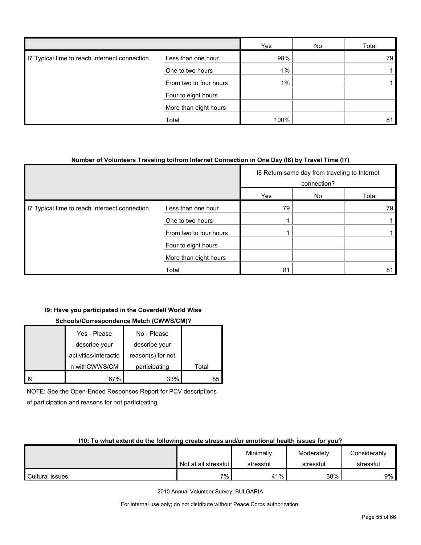|                                               |                        | Yes   | No | Total |
|-----------------------------------------------|------------------------|-------|----|-------|
| I7 Typical time to reach Internect connection | Less than one hour     | 98%   |    | 79    |
|                                               | One to two hours       | $1\%$ |    |       |
|                                               | From two to four hours | $1\%$ |    |       |
|                                               | Four to eight hours    |       |    |       |
|                                               | More than eight hours  |       |    |       |
|                                               | Total                  | 100%  |    | 81    |

#### **Number of Volunteers Traveling to/from Internet Connection in One Day (I8) by Travel Time (I7)**

|                                               |                        | 18 Return same day from traveling to Internet<br>connection? |    |       |
|-----------------------------------------------|------------------------|--------------------------------------------------------------|----|-------|
|                                               |                        | Yes                                                          | No | Total |
| I7 Typical time to reach Internect connection | Less than one hour     | 79                                                           |    | 79    |
|                                               | One to two hours       |                                                              |    |       |
|                                               | From two to four hours |                                                              |    |       |
|                                               | Four to eight hours    |                                                              |    |       |
|                                               | More than eight hours  |                                                              |    |       |
|                                               | Total                  | 81                                                           |    | 81    |

# **I9: Have you participated in the Coverdell World Wise**

# **Schools/Correspondence Match (CWWS/CM)?**

|    | Yes - Please          | No - Please       |       |
|----|-----------------------|-------------------|-------|
|    | describe your         | describe your     |       |
|    | activities/interactio | reason(s) for not |       |
|    | n withCWWS/CM         | participating     | Total |
| Ι9 | 67%                   | 33%               | 85    |

NOTE: See the Open-Ended Responses Report for PCV descriptions

of participation and reasons for not participating.

#### **I10: To what extent do the following create stress and/or emotional health issues for you?**

|                 |                      | Minimally | Moderately | Considerably |
|-----------------|----------------------|-----------|------------|--------------|
|                 | Not at all stressful | stressful | stressful  | stressful    |
| Cultural issues | 7%                   | 41%       | 38%        | 9%           |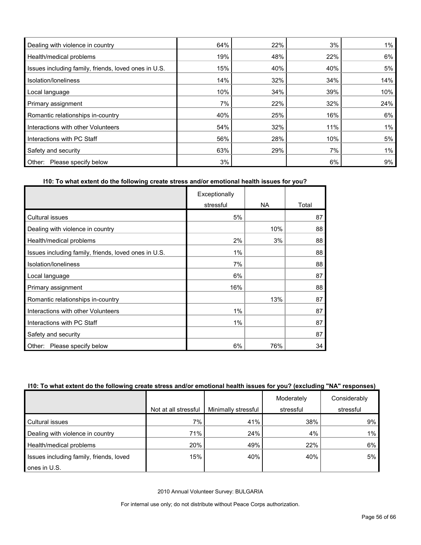| Dealing with violence in country                     | 64% | 22% | 3%  | $1\%$ |
|------------------------------------------------------|-----|-----|-----|-------|
| Health/medical problems                              | 19% | 48% | 22% | 6%    |
| Issues including family, friends, loved ones in U.S. | 15% | 40% | 40% | 5%    |
| Isolation/Ioneliness                                 | 14% | 32% | 34% | 14%   |
| Local language                                       | 10% | 34% | 39% | 10%   |
| Primary assignment                                   | 7%  | 22% | 32% | 24%   |
| Romantic relationships in-country                    | 40% | 25% | 16% | 6%    |
| Interactions with other Volunteers                   | 54% | 32% | 11% | 1%    |
| Interactions with PC Staff                           | 56% | 28% | 10% | 5%    |
| Safety and security                                  | 63% | 29% | 7%  | 1%    |
| Please specify below<br>Other:                       | 3%  |     | 6%  | 9%    |

## **I10: To what extent do the following create stress and/or emotional health issues for you?**

|                                                      | Exceptionally |           |       |
|------------------------------------------------------|---------------|-----------|-------|
|                                                      | stressful     | <b>NA</b> | Total |
| <b>Cultural issues</b>                               | 5%            |           | 87    |
| Dealing with violence in country                     |               | 10%       | 88    |
| Health/medical problems                              | 2%            | 3%        | 88    |
| Issues including family, friends, loved ones in U.S. | 1%            |           | 88    |
| Isolation/loneliness                                 | 7%            |           | 88    |
| Local language                                       | 6%            |           | 87    |
| Primary assignment                                   | 16%           |           | 88    |
| Romantic relationships in-country                    |               | 13%       | 87    |
| Interactions with other Volunteers                   | 1%            |           | 87    |
| Interactions with PC Staff                           | 1%            |           | 87    |
| Safety and security                                  |               |           | 87    |
| Please specify below<br>Other:                       | 6%            | 76%       | 34    |

#### **I10: To what extent do the following create stress and/or emotional health issues for you? (excluding "NA" responses)**

|                                         |                      |                     | Moderately | Considerably |
|-----------------------------------------|----------------------|---------------------|------------|--------------|
|                                         | Not at all stressful | Minimally stressful | stressful  | stressful    |
| Cultural issues                         | 7%                   | 41%                 | 38%        | 9%           |
| Dealing with violence in country        | 71%                  | 24%                 | 4%         | $1\%$        |
| Health/medical problems                 | 20%                  | 49%                 | 22%        | 6%           |
| Issues including family, friends, loved | 15%                  | 40%                 | 40%        | 5%           |
| ones in U.S.                            |                      |                     |            |              |

2010 Annual Volunteer Survey: BULGARIA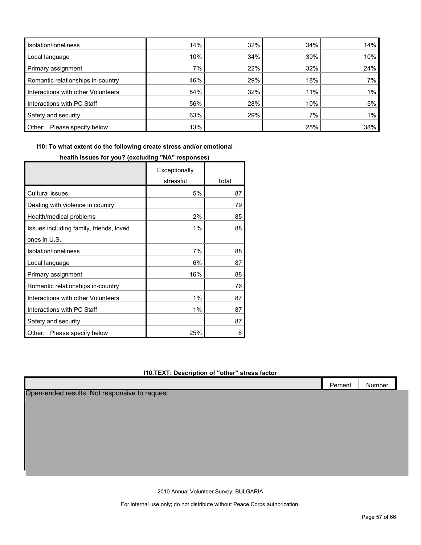| Isolation/Ioneliness               | 14% | 32% | 34% | 14% |
|------------------------------------|-----|-----|-----|-----|
| Local language                     | 10% | 34% | 39% | 10% |
| Primary assignment                 | 7%  | 22% | 32% | 24% |
| Romantic relationships in-country  | 46% | 29% | 18% | 7%  |
| Interactions with other Volunteers | 54% | 32% | 11% | 1%  |
| Interactions with PC Staff         | 56% | 28% | 10% | 5%  |
| Safety and security                | 63% | 29% | 7%  | 1%  |
| Other:<br>Please specify below     | 13% |     | 25% | 38% |

**I10: To what extent do the following create stress and/or emotional** 

|                                         | Exceptionally |       |
|-----------------------------------------|---------------|-------|
|                                         | stressful     | Total |
| <b>Cultural issues</b>                  | 5%            | 87    |
| Dealing with violence in country        |               | 79    |
| Health/medical problems                 | 2%            | 85    |
| Issues including family, friends, loved | 1%            | 88    |
| ones in U.S.                            |               |       |
| Isolation/Ioneliness                    | 7%            | 88    |
| Local language                          | 6%            | 87    |
| Primary assignment                      | 16%           | 88    |
| Romantic relationships in-country       |               | 76    |
| Interactions with other Volunteers      | 1%            | 87    |
| Interactions with PC Staff              | 1%            | 87    |
| Safety and security                     |               | 87    |
| Other:<br>Please specify below          | 25%           | 8     |

Г

# **health issues for you? (excluding "NA" responses)**

#### **I10.TEXT: Description of "other" stress factor**

|                                                | Percent | Number |
|------------------------------------------------|---------|--------|
| Open-ended results. Not responsive to request. |         |        |
|                                                |         |        |
|                                                |         |        |
|                                                |         |        |
|                                                |         |        |
|                                                |         |        |
|                                                |         |        |
|                                                |         |        |
|                                                |         |        |

2010 Annual Volunteer Survey: BULGARIA

For internal use only; do not distribute without Peace Corps authorization.

Т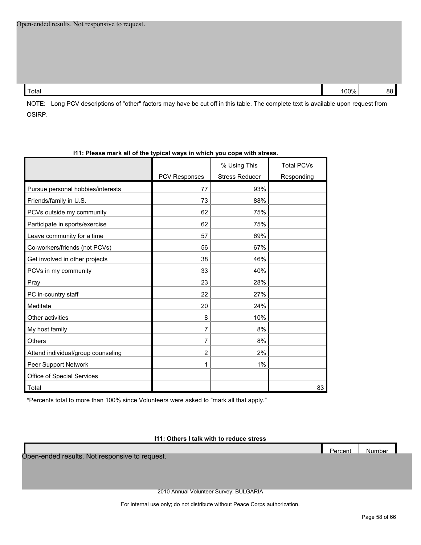Total 100% 88

NOTE: Long PCV descriptions of "other" factors may have be cut off in this table. The complete text is available upon request from OSIRP.

| 111: Please mark all of the typical ways in which you cope with stress. |                      |                                       |                                 |
|-------------------------------------------------------------------------|----------------------|---------------------------------------|---------------------------------|
|                                                                         | <b>PCV Responses</b> | % Using This<br><b>Stress Reducer</b> | <b>Total PCVs</b><br>Responding |
| Pursue personal hobbies/interests                                       | 77                   | 93%                                   |                                 |
| Friends/family in U.S.                                                  | 73                   | 88%                                   |                                 |
| PCVs outside my community                                               | 62                   | 75%                                   |                                 |
| Participate in sports/exercise                                          | 62                   | 75%                                   |                                 |
| Leave community for a time                                              | 57                   | 69%                                   |                                 |
| Co-workers/friends (not PCVs)                                           | 56                   | 67%                                   |                                 |
| Get involved in other projects                                          | 38                   | 46%                                   |                                 |
| PCVs in my community                                                    | 33                   | 40%                                   |                                 |
| Pray                                                                    | 23                   | 28%                                   |                                 |
| PC in-country staff                                                     | 22                   | 27%                                   |                                 |
| Meditate                                                                | 20                   | 24%                                   |                                 |
| Other activities                                                        | 8                    | 10%                                   |                                 |
| My host family                                                          | 7                    | 8%                                    |                                 |
| <b>Others</b>                                                           | 7                    | 8%                                    |                                 |
| Attend individual/group counseling                                      | $\overline{2}$       | 2%                                    |                                 |
| Peer Support Network                                                    | 1                    | 1%                                    |                                 |
| Office of Special Services                                              |                      |                                       |                                 |
| Total                                                                   |                      |                                       | 83                              |

# **I11: Please mark all of the typical ways in which you cope with stress.**

\*Percents total to more than 100% since Volunteers were asked to "mark all that apply."

#### **I11: Others I talk with to reduce stress**

Open-ended results. Not responsive to request.

2010 Annual Volunteer Survey: BULGARIA

For internal use only; do not distribute without Peace Corps authorization.

Percent Number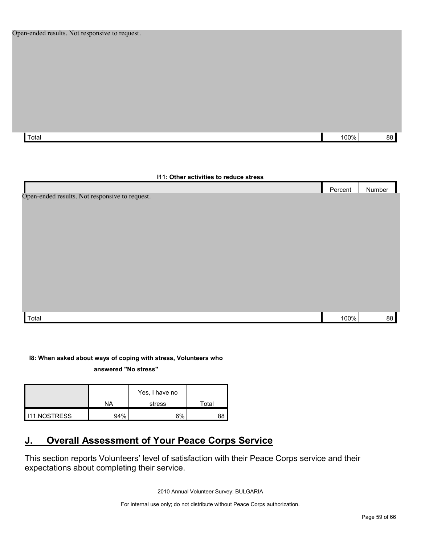Total 100% 88

# **I11: Other activities to reduce stress** Percent Number Total 100% 88 Open-ended results. Not responsive to request.

## **I8: When asked about ways of coping with stress, Volunteers who**

**answered "No stress"** 

|              | NA  | Yes, I have no<br>stress | Total |
|--------------|-----|--------------------------|-------|
| 111.NOSTRESS | 94% | 6%                       |       |

# <span id="page-58-0"></span>**J. Overall Assessment of Your Peace Corps Service**

This section reports Volunteers' level of satisfaction with their Peace Corps service and their expectations about completing their service.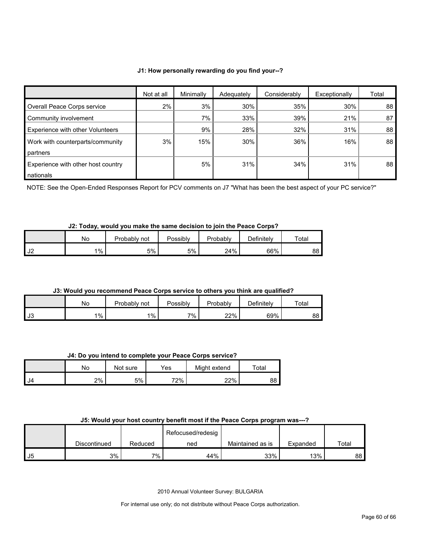#### **J1: How personally rewarding do you find your--?**

|                                         | Not at all | Minimally | Adequately | Considerably | Exceptionally | Total |
|-----------------------------------------|------------|-----------|------------|--------------|---------------|-------|
| Overall Peace Corps service             | 2%         | 3%        | 30%        | 35%          | 30%           | 88    |
| Community involvement                   |            | 7%        | 33%        | 39%          | 21%           | 87    |
| <b>Experience with other Volunteers</b> |            | 9%        | 28%        | 32%          | 31%           | 88    |
| Work with counterparts/community        | 3%         | 15%       | 30%        | 36%          | 16%           | 88    |
| partners                                |            |           |            |              |               |       |
| Experience with other host country      |            | 5%        | 31%        | 34%          | 31%           | 88    |
| nationals                               |            |           |            |              |               |       |

NOTE: See the Open-Ended Responses Report for PCV comments on J7 "What has been the best aspect of your PC service?"

# **J2: Today, would you make the same decision to join the Peace Corps?**

|          | No | Probably not | Possibly | Probably | Definitely | Total |
|----------|----|--------------|----------|----------|------------|-------|
| ıc<br>◡∠ | 1% | 5%           | 5%       | 24%      | 66%        | 88 I  |

#### **J3: Would you recommend Peace Corps service to others you think are qualified?**

|      | No    | Probably<br>not | Possibly | Probably | Definitelv | $\tau$ otal |
|------|-------|-----------------|----------|----------|------------|-------------|
| l J3 | $1\%$ | $1\%$           | 7%       | 22%      | 69%        | 88          |

#### **J4: Do you intend to complete your Peace Corps service?**

|      | No | Not sure | Yes⊹ | Might extend | $\mathop{\mathsf{Total}}$ |
|------|----|----------|------|--------------|---------------------------|
| l J4 | 2% | 5%       | 72%  | 22%          | oo<br>oo                  |

#### **J5: Would your host country benefit most if the Peace Corps program was---?**

|    |              |         | Refocused/redesig |                  |          |       |
|----|--------------|---------|-------------------|------------------|----------|-------|
|    | Discontinued | Reduced | ned               | Maintained as is | Expanded | Total |
| J5 | 3%1          | 7%      | 44%               | 33%              | 13%      | 88 I  |

2010 Annual Volunteer Survey: BULGARIA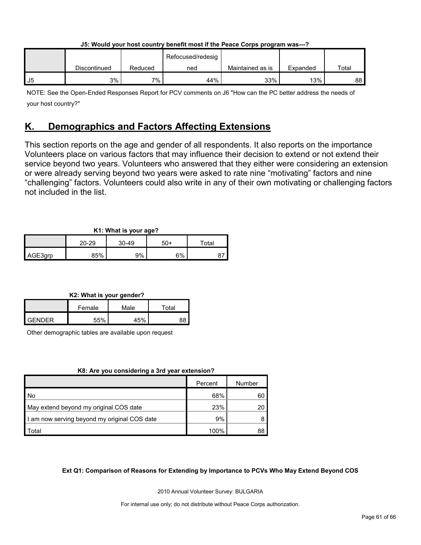| J5: Would your host country benefit most if the Peace Corps program was---? |  |  |                      |  |  |
|-----------------------------------------------------------------------------|--|--|----------------------|--|--|
|                                                                             |  |  | Defense allegated to |  |  |

|    |              |         | Refocused/redesig |                  |          |             |
|----|--------------|---------|-------------------|------------------|----------|-------------|
|    | Discontinued | Reduced | ned               | Maintained as is | Expanded | $\tau$ otal |
| J5 | 3%           | 7%      | 44%               | 33%              | 13%      | 88          |

NOTE: See the Open-Ended Responses Report for PCV comments on J6 "How can the PC better address the needs of your host country?"

# <span id="page-60-0"></span>**K. Demographics and Factors Affecting Extensions**

This section reports on the age and gender of all respondents. It also reports on the importance Volunteers place on various factors that may influence their decision to extend or not extend their service beyond two years. Volunteers who answered that they either were considering an extension or were already serving beyond two years were asked to rate nine "motivating" factors and nine "challenging" factors. Volunteers could also write in any of their own motivating or challenging factors not included in the list.

# **K1: What is your age?**

|         | . .<br>$\sim$ |           |     |       |  |  |
|---------|---------------|-----------|-----|-------|--|--|
|         | $20 - 29$     | $30 - 49$ | 50+ | ™otal |  |  |
| AGE3grp | 85%           | 9%        | 6%  |       |  |  |

# **K2: What is your gender?**

|               | Female | Male | Total |  |
|---------------|--------|------|-------|--|
| <b>GENDER</b> | 55%    | 45%  | RΩ    |  |

Other demographic tables are available upon request

# **K8: Are you considering a 3rd year extension?**

|                                              | Percent | Number |
|----------------------------------------------|---------|--------|
| No                                           | 68%     | 60     |
| May extend beyond my original COS date       | 23%     | 20     |
| I am now serving beyond my original COS date | 9%      |        |
| Total                                        | 100%    | 88     |

# **Ext Q1: Comparison of Reasons for Extending by Importance to PCVs Who May Extend Beyond COS**

2010 Annual Volunteer Survey: BULGARIA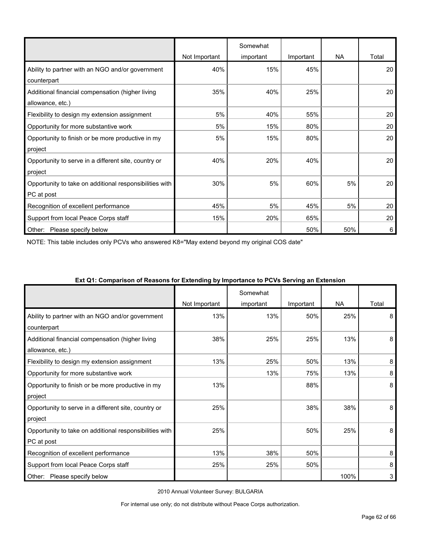|                                                         |               | Somewhat  |           |           |       |
|---------------------------------------------------------|---------------|-----------|-----------|-----------|-------|
|                                                         | Not Important | important | Important | <b>NA</b> | Total |
| Ability to partner with an NGO and/or government        | 40%           | 15%       | 45%       |           | 20    |
| counterpart                                             |               |           |           |           |       |
| Additional financial compensation (higher living        | 35%           | 40%       | 25%       |           | 20    |
| allowance, etc.)                                        |               |           |           |           |       |
| Flexibility to design my extension assignment           | 5%            | 40%       | 55%       |           | 20    |
| Opportunity for more substantive work                   | 5%            | 15%       | 80%       |           | 20    |
| Opportunity to finish or be more productive in my       | 5%            | 15%       | 80%       |           | 20    |
| project                                                 |               |           |           |           |       |
| Opportunity to serve in a different site, country or    | 40%           | 20%       | 40%       |           | 20    |
| project                                                 |               |           |           |           |       |
| Opportunity to take on additional responsibilities with | 30%           | 5%        | 60%       | 5%        | 20    |
| PC at post                                              |               |           |           |           |       |
| Recognition of excellent performance                    | 45%           | 5%        | 45%       | 5%        | 20    |
| Support from local Peace Corps staff                    | 15%           | 20%       | 65%       |           | 20    |
| Please specify below<br>Other:                          |               |           | 50%       | 50%       | 6     |

NOTE: This table includes only PCVs who answered K8="May extend beyond my original COS date"

| $\alpha$ , which is a computation of the construction of the computation of the contrary will construct the construction of the construction of the construction of the construction of the construction of the construction of th | Not Important | Somewhat<br>important | Important | <b>NA</b> | Total |
|------------------------------------------------------------------------------------------------------------------------------------------------------------------------------------------------------------------------------------|---------------|-----------------------|-----------|-----------|-------|
| Ability to partner with an NGO and/or government<br>counterpart                                                                                                                                                                    | 13%           | 13%                   | 50%       | 25%       | 8     |
| Additional financial compensation (higher living<br>allowance, etc.)                                                                                                                                                               | 38%           | 25%                   | 25%       | 13%       | 8     |
| Flexibility to design my extension assignment                                                                                                                                                                                      | 13%           | 25%                   | 50%       | 13%       | 8     |
| Opportunity for more substantive work                                                                                                                                                                                              |               | 13%                   | 75%       | 13%       | 8     |
| Opportunity to finish or be more productive in my<br>project                                                                                                                                                                       | 13%           |                       | 88%       |           | 8     |
| Opportunity to serve in a different site, country or<br>project                                                                                                                                                                    | 25%           |                       | 38%       | 38%       | 8     |
| Opportunity to take on additional responsibilities with<br>PC at post                                                                                                                                                              | 25%           |                       | 50%       | 25%       | 8     |
| Recognition of excellent performance                                                                                                                                                                                               | 13%           | 38%                   | 50%       |           | 8     |
| Support from local Peace Corps staff                                                                                                                                                                                               | 25%           | 25%                   | 50%       |           | 8     |
| Other:<br>Please specify below                                                                                                                                                                                                     |               |                       |           | 100%      | 3     |

#### **Ext Q1: Comparison of Reasons for Extending by Importance to PCVs Serving an Extension**

2010 Annual Volunteer Survey: BULGARIA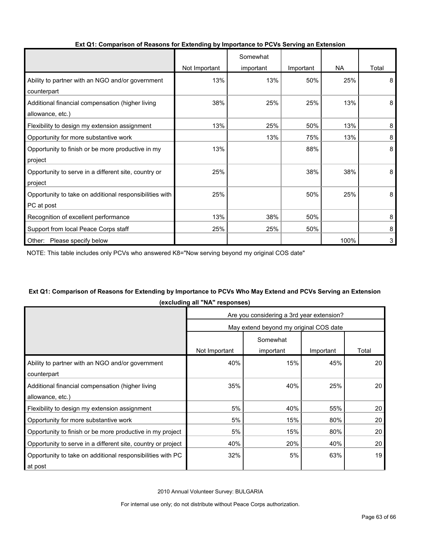|                                                         |               | Somewhat  |           |           |       |
|---------------------------------------------------------|---------------|-----------|-----------|-----------|-------|
|                                                         | Not Important | important | Important | <b>NA</b> | Total |
| Ability to partner with an NGO and/or government        | 13%           | 13%       | 50%       | 25%       | 8     |
| counterpart                                             |               |           |           |           |       |
| Additional financial compensation (higher living        | 38%           | 25%       | 25%       | 13%       | 8     |
| allowance, etc.)                                        |               |           |           |           |       |
| Flexibility to design my extension assignment           | 13%           | 25%       | 50%       | 13%       | 8     |
| Opportunity for more substantive work                   |               | 13%       | 75%       | 13%       | 8     |
| Opportunity to finish or be more productive in my       | 13%           |           | 88%       |           | 8     |
| project                                                 |               |           |           |           |       |
| Opportunity to serve in a different site, country or    | 25%           |           | 38%       | 38%       | 8     |
| project                                                 |               |           |           |           |       |
| Opportunity to take on additional responsibilities with | 25%           |           | 50%       | 25%       | 8     |
| PC at post                                              |               |           |           |           |       |
| Recognition of excellent performance                    | 13%           | 38%       | 50%       |           | 8     |
| Support from local Peace Corps staff                    | 25%           | 25%       | 50%       |           | 8     |
| Please specify below<br>Other:                          |               |           |           | 100%      | 3     |

#### **Ext Q1: Comparison of Reasons for Extending by Importance to PCVs Serving an Extension**

NOTE: This table includes only PCVs who answered K8="Now serving beyond my original COS date"

# **Ext Q1: Comparison of Reasons for Extending by Importance to PCVs Who May Extend and PCVs Serving an Extension (excluding all "NA" responses)**

|                                                              | Are you considering a 3rd year extension?           |     |     |                 |  |  |  |
|--------------------------------------------------------------|-----------------------------------------------------|-----|-----|-----------------|--|--|--|
|                                                              | May extend beyond my original COS date              |     |     |                 |  |  |  |
|                                                              | Somewhat<br>Not Important<br>Important<br>important |     |     |                 |  |  |  |
|                                                              |                                                     |     |     | Total           |  |  |  |
| Ability to partner with an NGO and/or government             | 40%                                                 | 15% | 45% | 20 <sub>1</sub> |  |  |  |
| counterpart                                                  |                                                     |     |     |                 |  |  |  |
| Additional financial compensation (higher living             | 35%                                                 | 40% | 25% | 20              |  |  |  |
| allowance, etc.)                                             |                                                     |     |     |                 |  |  |  |
| Flexibility to design my extension assignment                | 5%                                                  | 40% | 55% | 20              |  |  |  |
| Opportunity for more substantive work                        | 5%                                                  | 15% | 80% | 20              |  |  |  |
| Opportunity to finish or be more productive in my project    | 5%                                                  | 15% | 80% | 20              |  |  |  |
| Opportunity to serve in a different site, country or project | 40%                                                 | 20% | 40% | 20              |  |  |  |
| Opportunity to take on additional responsibilities with PC   | 32%                                                 | 5%  | 63% | 19              |  |  |  |
| at post                                                      |                                                     |     |     |                 |  |  |  |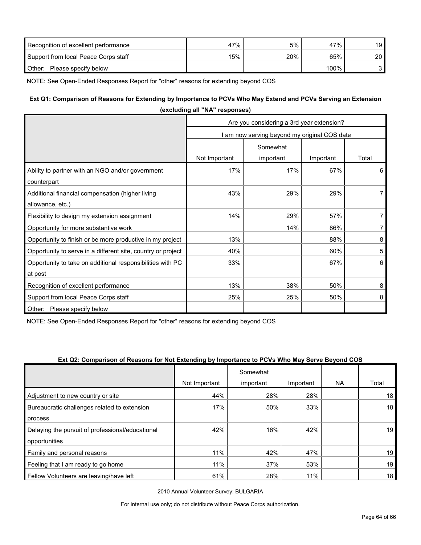| Recognition of excellent performance | 47% | 5%  | 47%  | 19 l |
|--------------------------------------|-----|-----|------|------|
| Support from local Peace Corps staff | 15% | 20% | 65%  | ا 20 |
| Other:<br>Please specify below       |     |     | 100% |      |

NOTE: See Open-Ended Responses Report for "other" reasons for extending beyond COS

#### **Ext Q1: Comparison of Reasons for Extending by Importance to PCVs Who May Extend and PCVs Serving an Extension**

| (excluding all NA responses)                                          |                                              |                                           |           |                |  |  |  |
|-----------------------------------------------------------------------|----------------------------------------------|-------------------------------------------|-----------|----------------|--|--|--|
|                                                                       |                                              | Are you considering a 3rd year extension? |           |                |  |  |  |
|                                                                       | I am now serving beyond my original COS date |                                           |           |                |  |  |  |
|                                                                       |                                              | Somewhat                                  |           |                |  |  |  |
|                                                                       | Not Important                                | important                                 | Important | Total          |  |  |  |
| Ability to partner with an NGO and/or government<br>counterpart       | 17%                                          | 17%                                       | 67%       | 6              |  |  |  |
| Additional financial compensation (higher living<br>allowance, etc.)  | 43%                                          | 29%                                       | 29%       | $\overline{7}$ |  |  |  |
| Flexibility to design my extension assignment                         | 14%                                          | 29%                                       | 57%       | $\overline{7}$ |  |  |  |
| Opportunity for more substantive work                                 |                                              | 14%                                       | 86%       | $\overline{7}$ |  |  |  |
| Opportunity to finish or be more productive in my project             | 13%                                          |                                           | 88%       | 8              |  |  |  |
| Opportunity to serve in a different site, country or project          | 40%                                          |                                           | 60%       | 5              |  |  |  |
| Opportunity to take on additional responsibilities with PC<br>at post | 33%                                          |                                           | 67%       | 6              |  |  |  |
| Recognition of excellent performance                                  | 13%                                          | 38%                                       | 50%       | 8              |  |  |  |
| Support from local Peace Corps staff                                  | 25%                                          | 25%                                       | 50%       | 8              |  |  |  |
| Other: Please specify below                                           |                                              |                                           |           |                |  |  |  |

**(excluding all "NA" responses)**

NOTE: See Open-Ended Responses Report for "other" reasons for extending beyond COS

#### **Ext Q2: Comparison of Reasons for Not Extending by Importance to PCVs Who May Serve Beyond COS**

|                                                  |               | Somewhat  |           |           |       |
|--------------------------------------------------|---------------|-----------|-----------|-----------|-------|
|                                                  | Not Important | important | Important | <b>NA</b> | Total |
| Adjustment to new country or site                | 44%           | 28%       | 28%       |           | 18    |
| Bureaucratic challenges related to extension     | 17%           | 50%       | 33%       |           | 18    |
| process                                          |               |           |           |           |       |
| Delaying the pursuit of professional/educational | 42%           | 16%       | 42%       |           | 19    |
| opportunities                                    |               |           |           |           |       |
| Family and personal reasons                      | 11%           | 42%       | 47%       |           | 19    |
| Feeling that I am ready to go home               | 11%           | 37%       | 53%       |           | 19    |
| Fellow Volunteers are leaving/have left          | 61%           | 28%       | 11%       |           | 18    |

2010 Annual Volunteer Survey: BULGARIA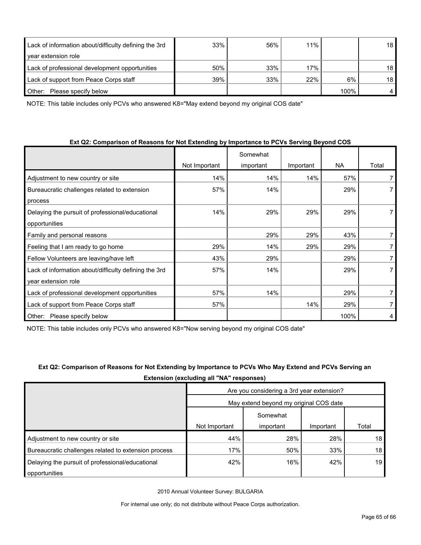| Lack of information about/difficulty defining the 3rd | 33% | 56% | 11% |      | 18 |
|-------------------------------------------------------|-----|-----|-----|------|----|
| year extension role                                   |     |     |     |      |    |
| Lack of professional development opportunities        | 50% | 33% | 17% |      | 18 |
| Lack of support from Peace Corps staff                | 39% | 33% | 22% | 6%   | 18 |
| Please specify below<br>Other:                        |     |     |     | 100% |    |

NOTE: This table includes only PCVs who answered K8="May extend beyond my original COS date"

| Ext Q2: Comparison of Reasons for Not Extending by Importance to PCVs Serving Beyond COS |  |
|------------------------------------------------------------------------------------------|--|
|------------------------------------------------------------------------------------------|--|

|                                                       |               | Somewhat  |           |           |       |
|-------------------------------------------------------|---------------|-----------|-----------|-----------|-------|
|                                                       | Not Important | important | Important | <b>NA</b> | Total |
| Adjustment to new country or site                     | 14%           | 14%       | 14%       | 57%       |       |
| Bureaucratic challenges related to extension          | 57%           | 14%       |           | 29%       |       |
| process                                               |               |           |           |           |       |
| Delaying the pursuit of professional/educational      | 14%           | 29%       | 29%       | 29%       |       |
| opportunities                                         |               |           |           |           |       |
| Family and personal reasons                           |               | 29%       | 29%       | 43%       | 7     |
| Feeling that I am ready to go home                    | 29%           | 14%       | 29%       | 29%       |       |
| Fellow Volunteers are leaving/have left               | 43%           | 29%       |           | 29%       |       |
| Lack of information about/difficulty defining the 3rd | 57%           | 14%       |           | 29%       |       |
| year extension role                                   |               |           |           |           |       |
| Lack of professional development opportunities        | 57%           | 14%       |           | 29%       |       |
| Lack of support from Peace Corps staff                | 57%           |           | 14%       | 29%       |       |
| Please specify below<br>Other:                        |               |           |           | 100%      | 4     |

NOTE: This table includes only PCVs who answered K8="Now serving beyond my original COS date"

| Ext Q2: Comparison of Reasons for Not Extending by Importance to PCVs Who May Extend and PCVs Serving an |
|----------------------------------------------------------------------------------------------------------|
| <b>Extension (excluding all "NA" responses)</b>                                                          |

|                                                      | Are you considering a 3rd year extension? |           |           |       |  |  |
|------------------------------------------------------|-------------------------------------------|-----------|-----------|-------|--|--|
|                                                      | May extend beyond my original COS date    |           |           |       |  |  |
|                                                      | Somewhat                                  |           |           |       |  |  |
|                                                      | Not Important                             | important | Important | Total |  |  |
| Adjustment to new country or site                    | 44%                                       | 28%       | 28%       | 18    |  |  |
| Bureaucratic challenges related to extension process | 17%                                       | 50%       | 33%       | 18    |  |  |
| Delaying the pursuit of professional/educational     | 42%                                       | 16%       | 42%       | 19    |  |  |
| opportunities                                        |                                           |           |           |       |  |  |

2010 Annual Volunteer Survey: BULGARIA